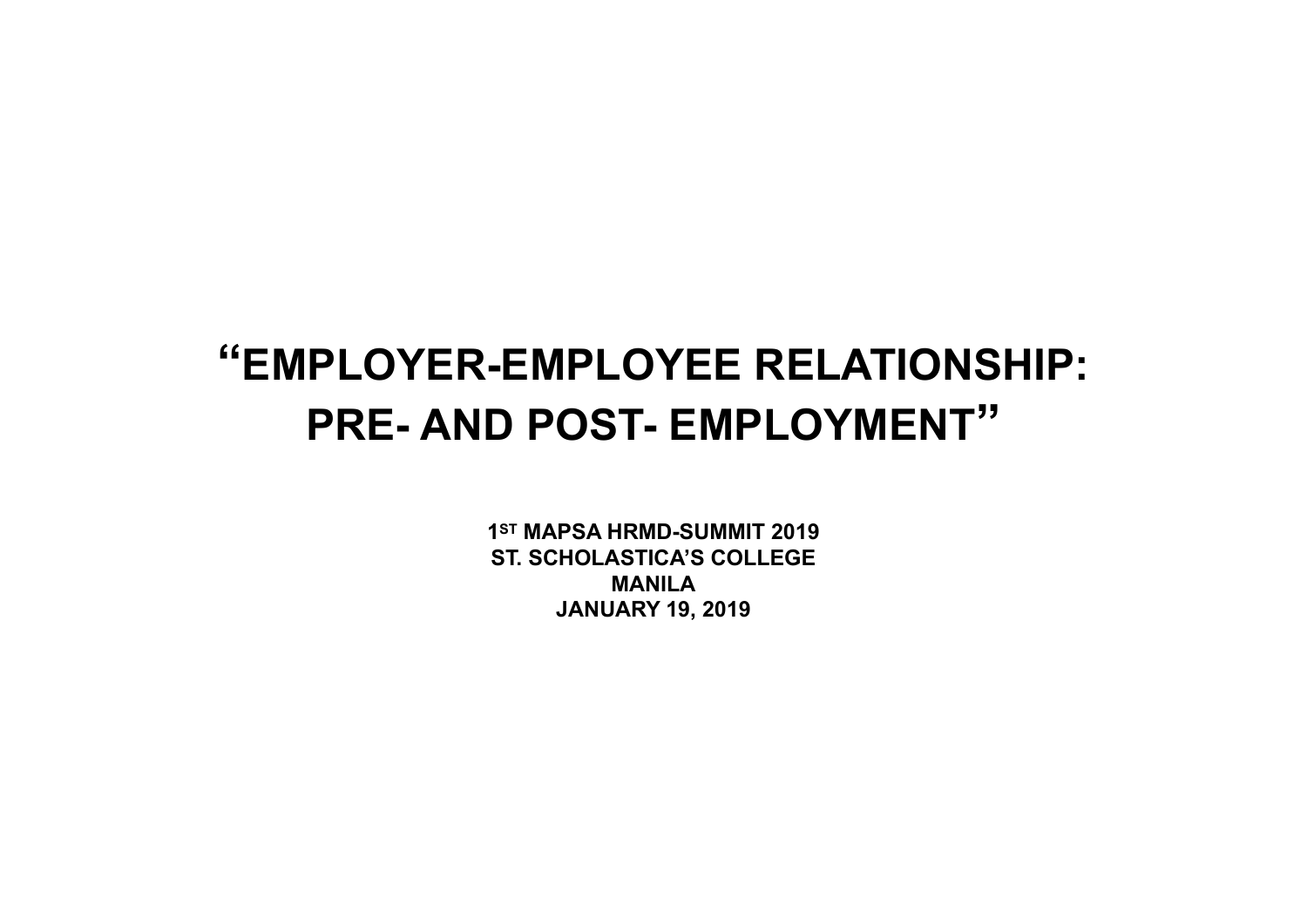#### **"EMPLOYER-EMPLOYEE RELATIONSHIP: PRE- AND POST- EMPLOYMENT"**

**1ST MAPSA HRMD-SUMMIT 2019 ST. SCHOLASTICA'S COLLEGE MANILA JANUARY 19, 2019**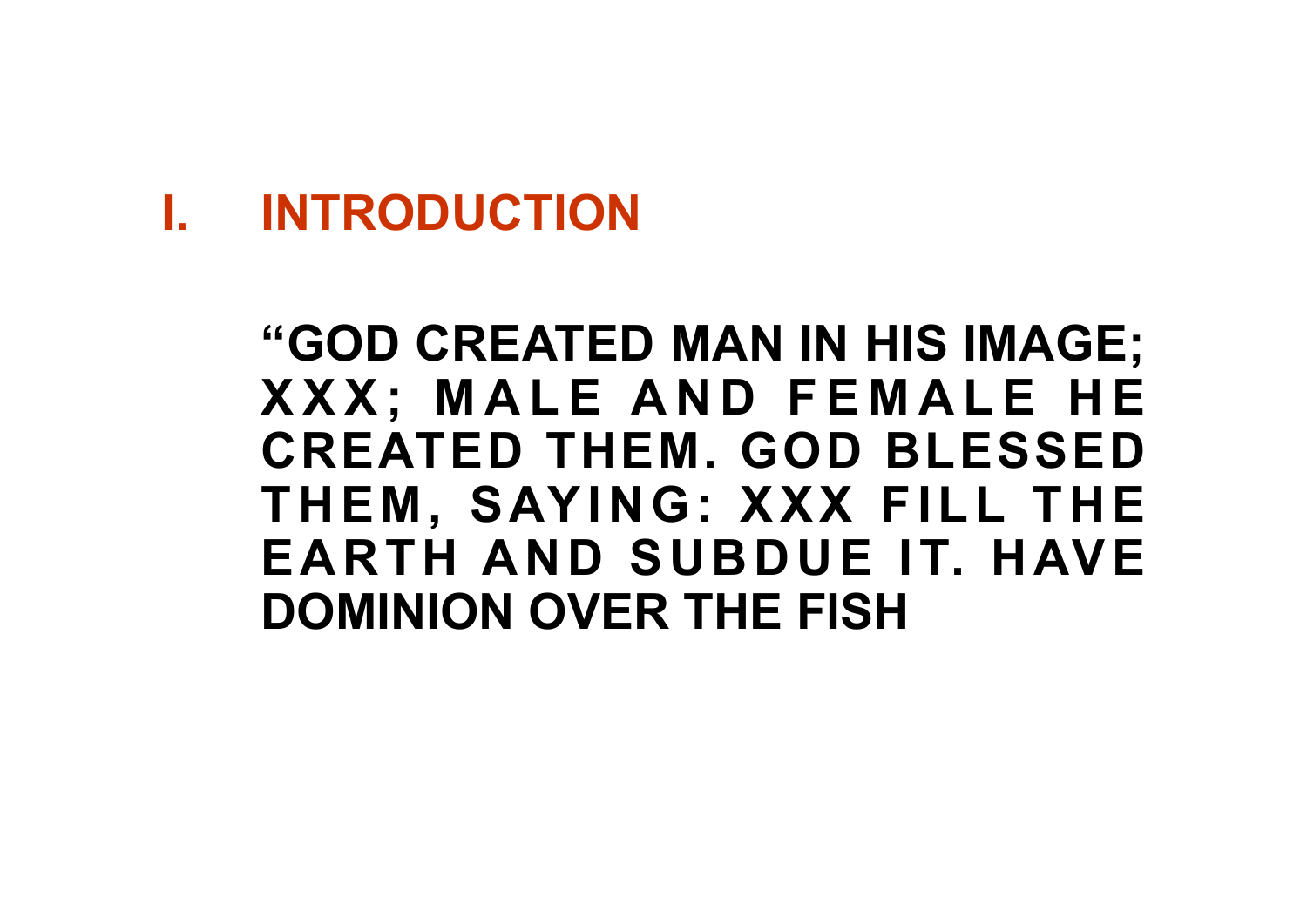#### **I. INTRODUCTION**

#### **"GOD CREATED MAN IN HIS IMAGE; X X X ; M A L E A N D F E M A L E H E CREATED THEM. GOD BLESSED**  THEM, SAYING: XXX FILL THE **EARTH AND SUBDUE IT. HAVE DOMINION OVER THE FISH**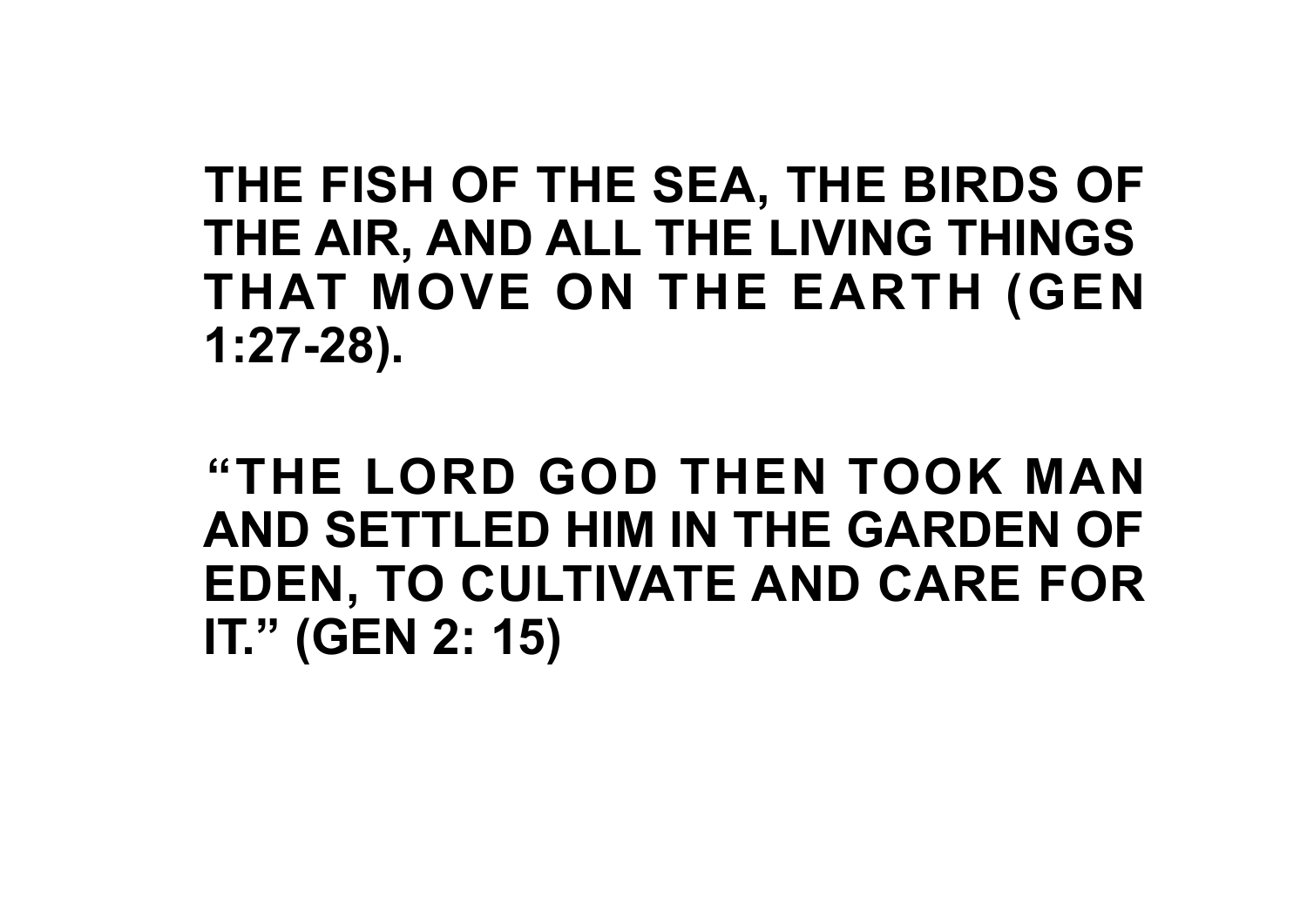#### **THE FISH OF THE SEA, THE BIRDS OF THE AIR, AND ALL THE LIVING THINGS THAT MOVE ON THE EARTH (GEN 1:27-28).**

**"THE LORD GOD THEN TOOK MAN AND SETTLED HIM IN THE GARDEN OF EDEN, TO CULTIVATE AND CARE FOR IT." (GEN 2: 15)**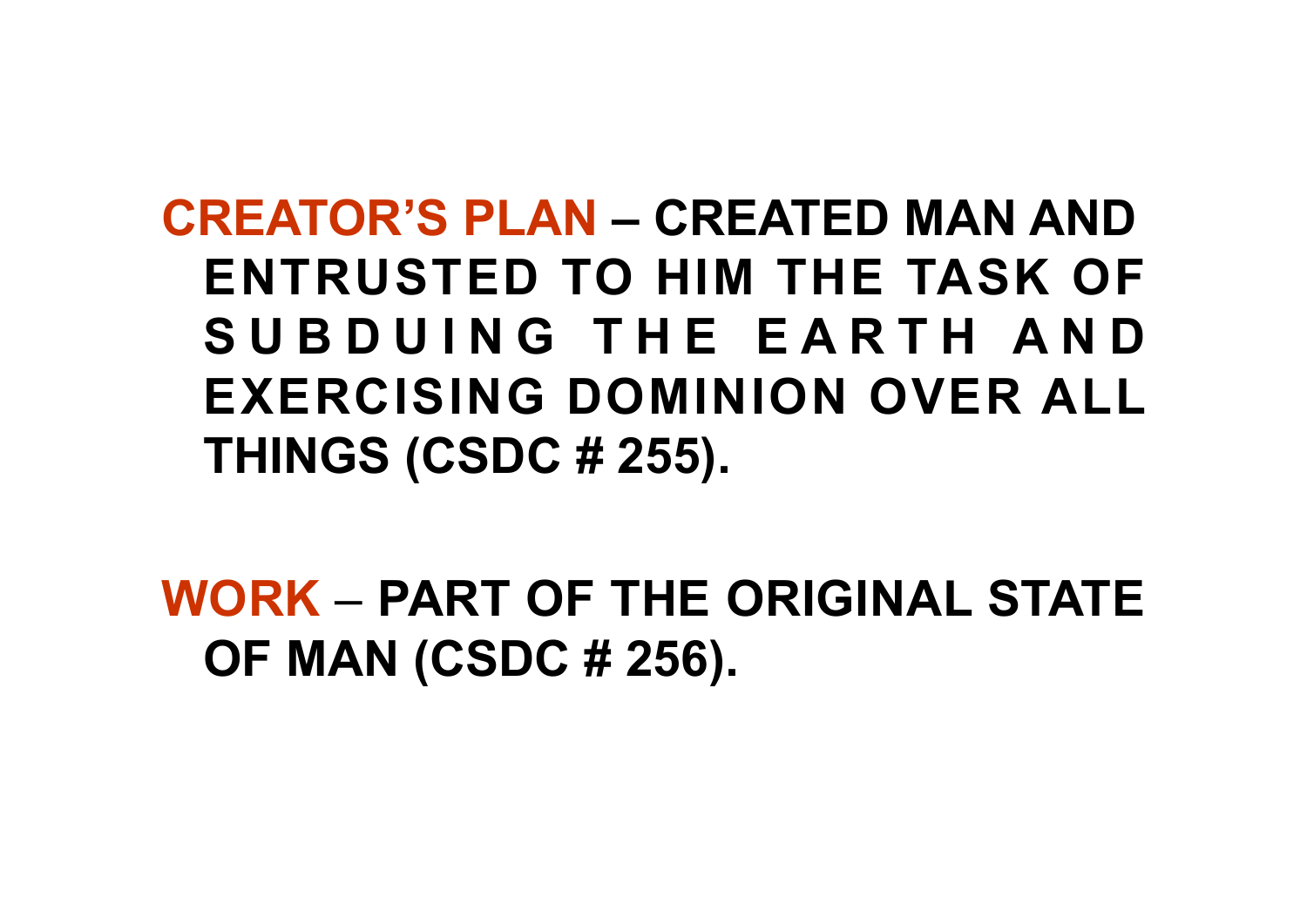**CREATOR'S PLAN – CREATED MAN AND ENTRUSTED TO HIM THE TASK OF**  SUBDUING THE EARTH AND **EXERCISING DOMINION OVER ALL THINGS (CSDC # 255).**

**WORK** – **PART OF THE ORIGINAL STATE OF MAN (CSDC # 256).**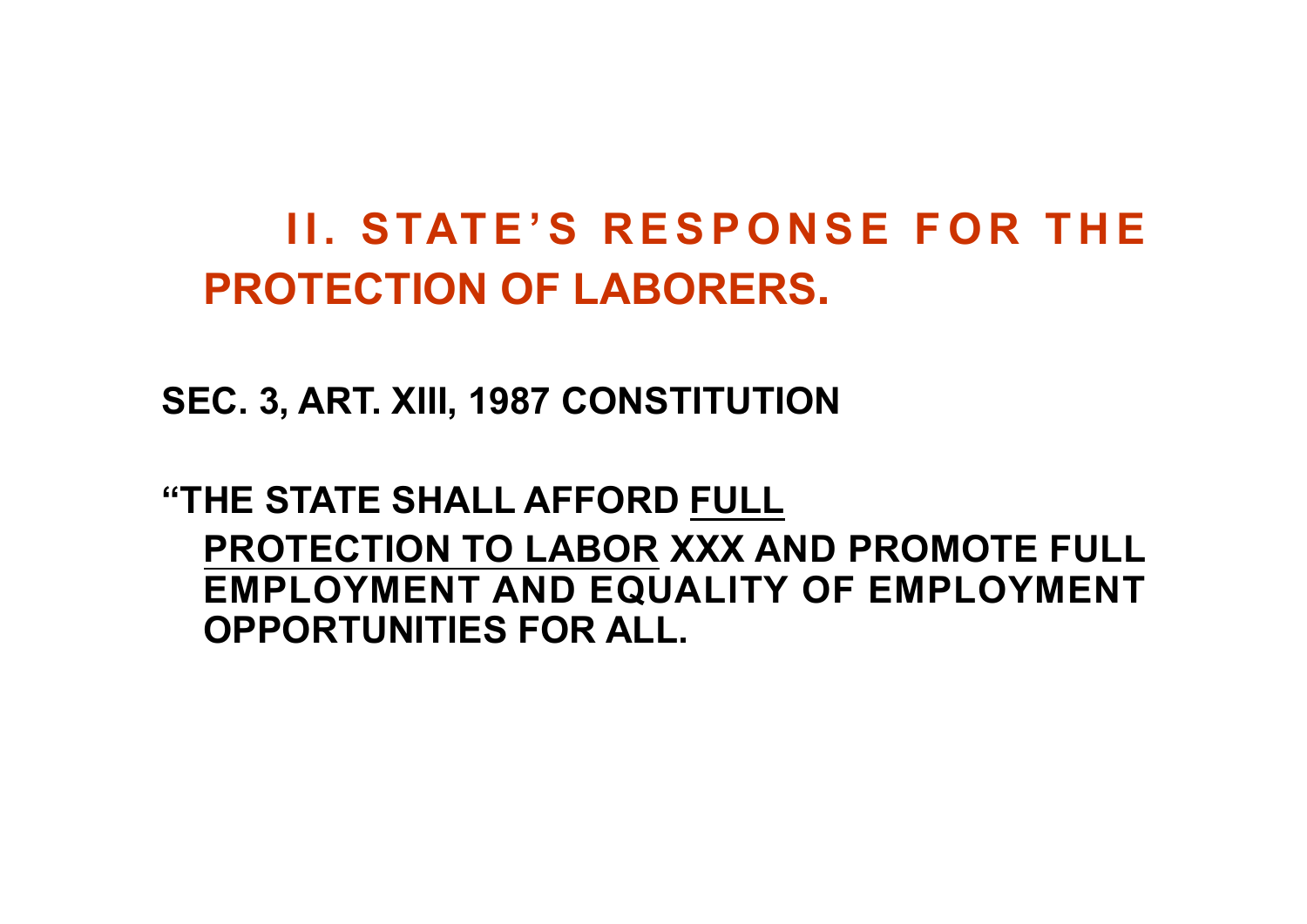#### **II. STATE'S RESPONSE FOR THE PROTECTION OF LABORERS.**

**SEC. 3, ART. XIII, 1987 CONSTITUTION**

**"THE STATE SHALL AFFORD FULL PROTECTION TO LABOR XXX AND PROMOTE FULL EMPLOYMENT AND EQUALITY OF EMPLOYMENT OPPORTUNITIES FOR ALL.**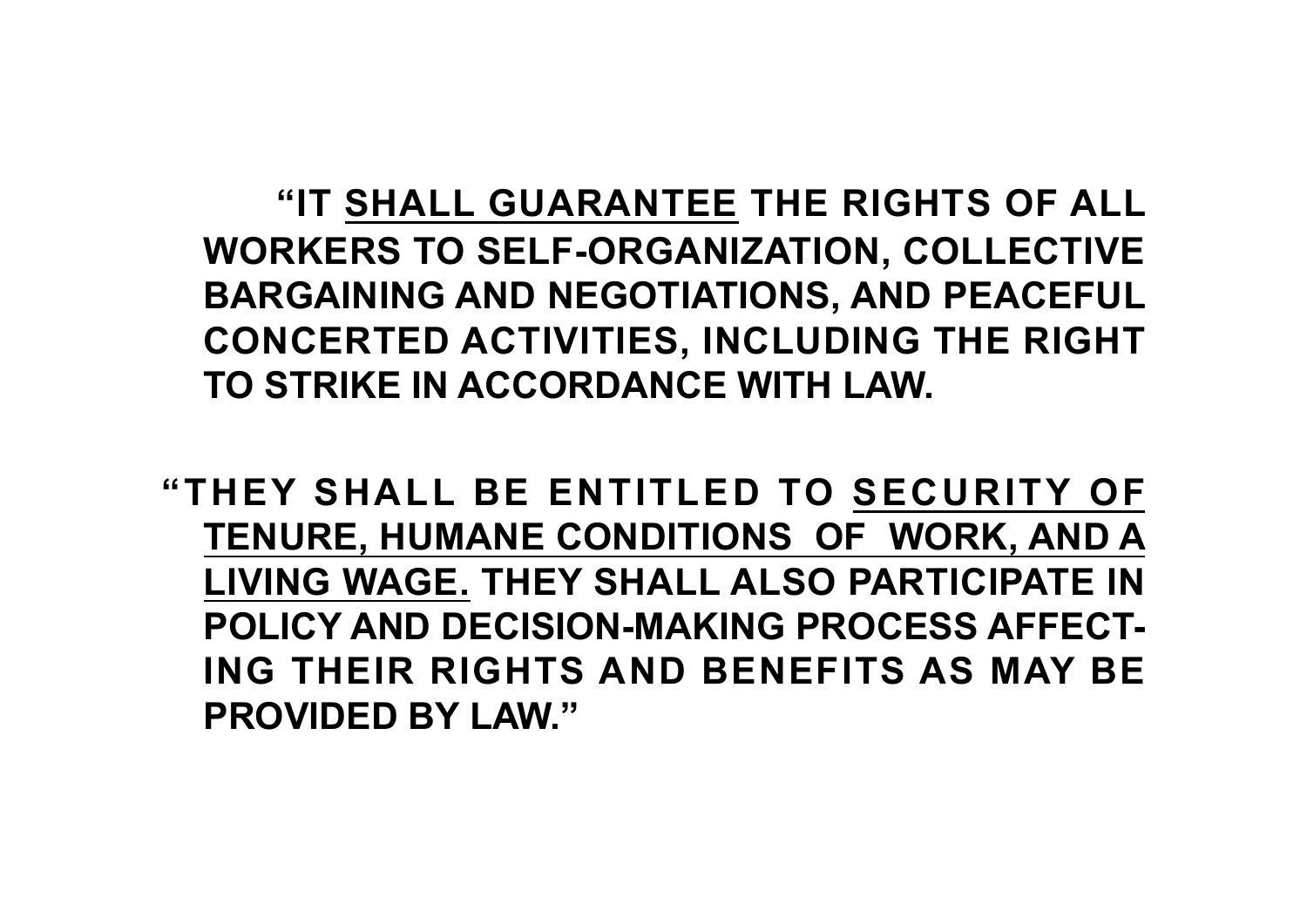**"IT SHALL GUARANTEE THE RIGHTS OF ALL WORKERS TO SELF-ORGANIZATION, COLLECTIVE BARGAINING AND NEGOTIATIONS, AND PEACEFUL CONCERTED ACTIVITIES, INCLUDING THE RIGHT TO STRIKE IN ACCORDANCE WITH LAW.**

**"THEY SHALL BE ENTITLED TO SECURITY OF TENURE, HUMANE CONDITIONS OF WORK, AND A LIVING WAGE. THEY SHALL ALSO PARTICIPATE IN POLICY AND DECISION-MAKING PROCESS AFFECT-ING THEIR RIGHTS AND BENEFITS AS MAY BE PROVIDED BY LAW."**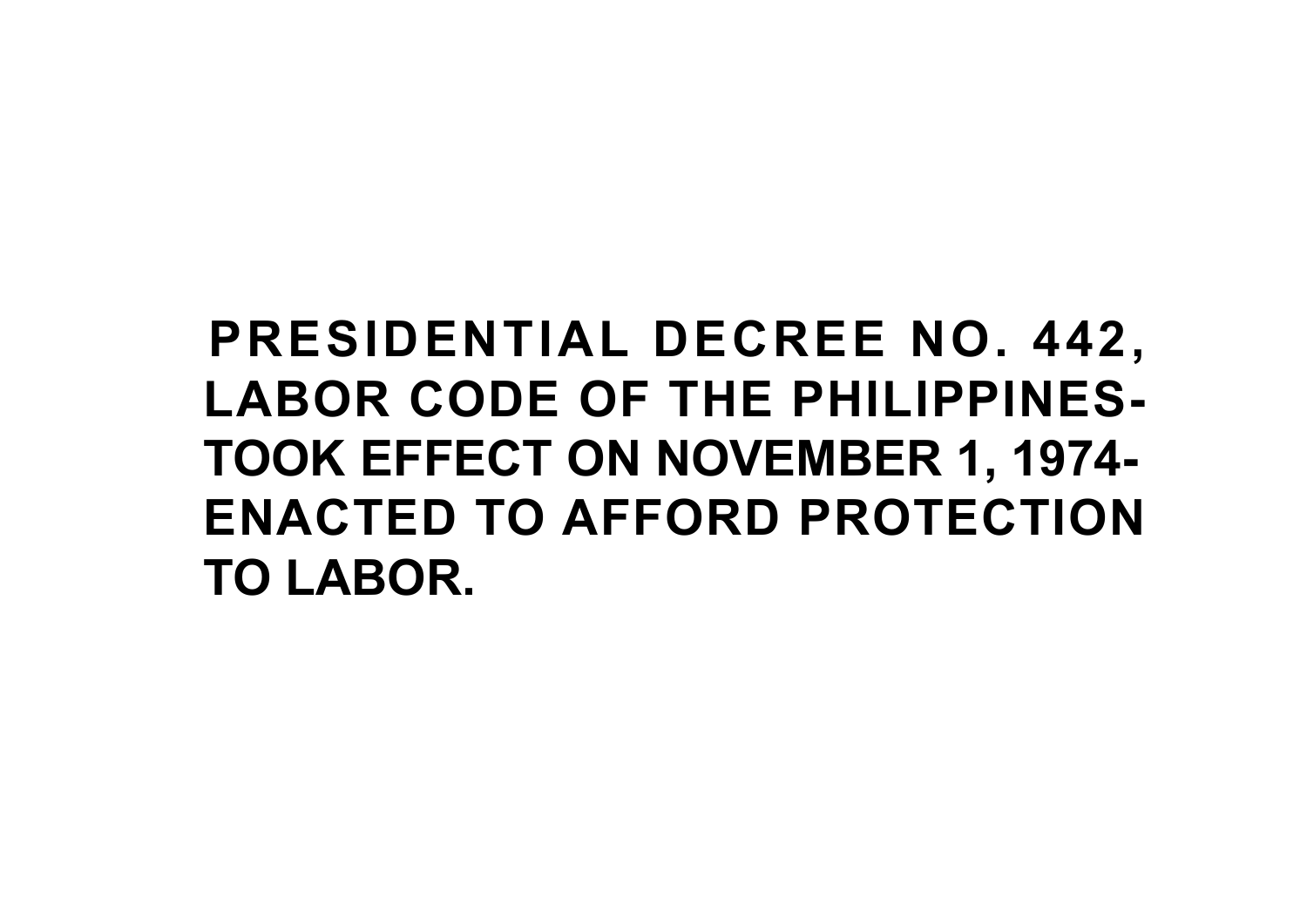# **PRESIDENTIAL DECREE NO. 442, LABOR CODE OF THE PHILIPPINES-TOOK EFFECT ON NOVEMBER 1, 1974- ENACTED TO AFFORD PROTECTION TO LABOR.**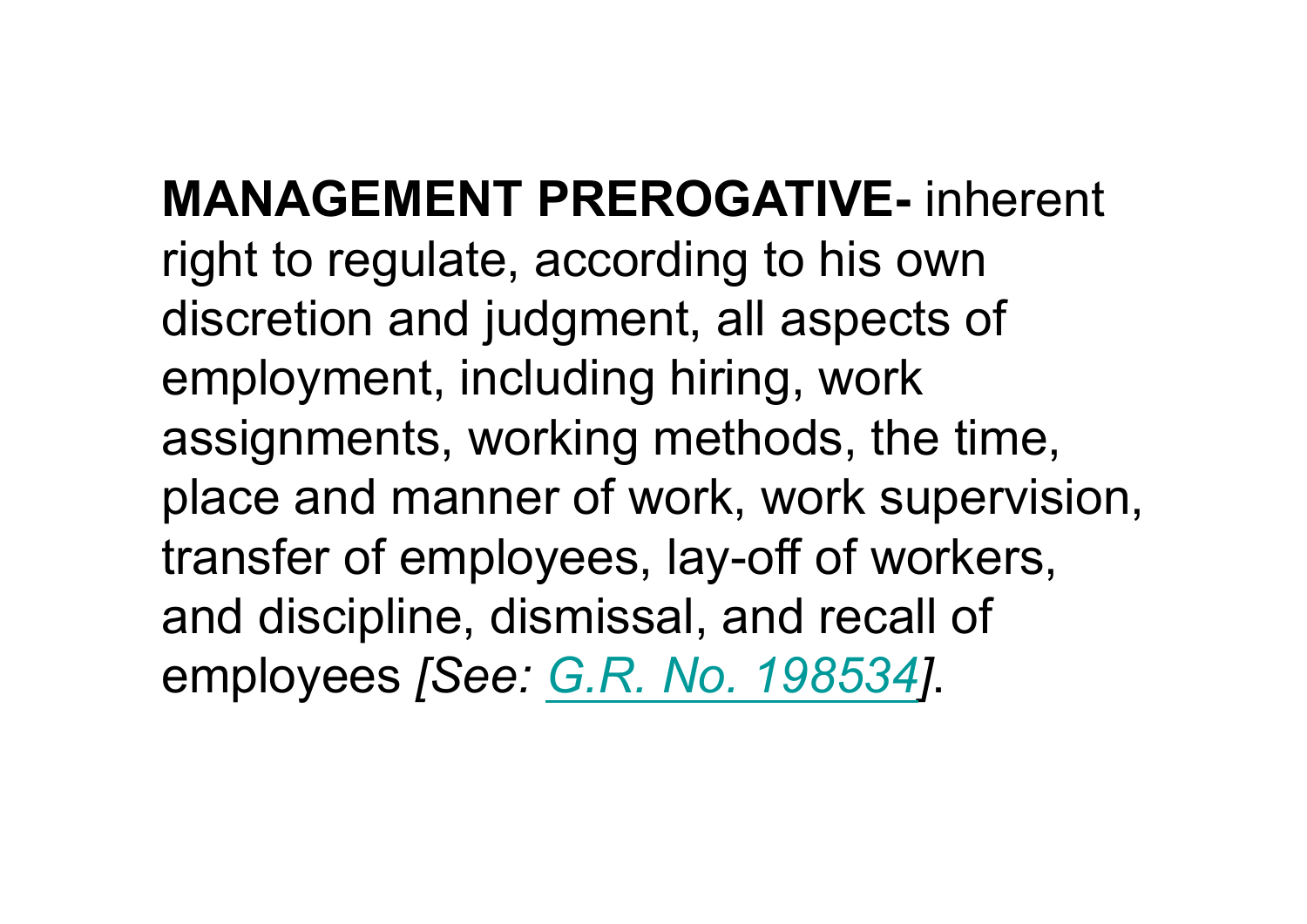**MANAGEMENT PREROGATIVE-** inherent right to regulate, according to his own discretion and judgment, all aspects of employment, including hiring, work assignments, working methods, the time, place and manner of work, work supervision, transfer of employees, lay-off of workers, and discipline, dismissal, and recall of employees *[See: G.R. No. 198534]*.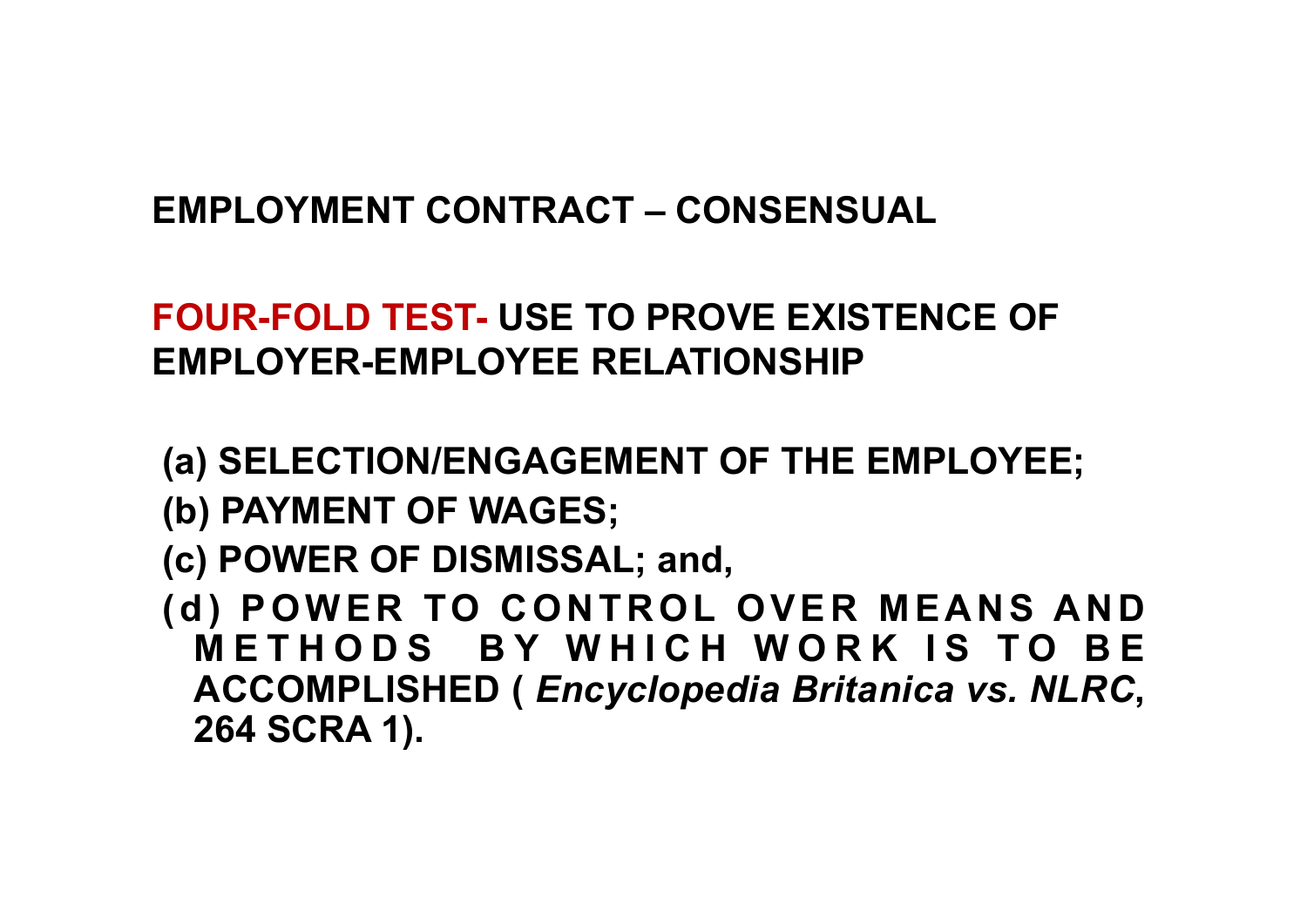#### **EMPLOYMENT CONTRACT – CONSENSUAL**

#### **FOUR-FOLD TEST- USE TO PROVE EXISTENCE OF EMPLOYER-EMPLOYEE RELATIONSHIP**

- **(a) SELECTION/ENGAGEMENT OF THE EMPLOYEE;**
- **(b) PAYMENT OF WAGES;**
- **(c) POWER OF DISMISSAL; and,**
- **(d) POWER TO CONTROL OVER MEANS AND METHODS BY WHICH WORK IS TO BE ACCOMPLISHED (** *Encyclopedia Britanica vs. NLRC***, 264 SCRA 1).**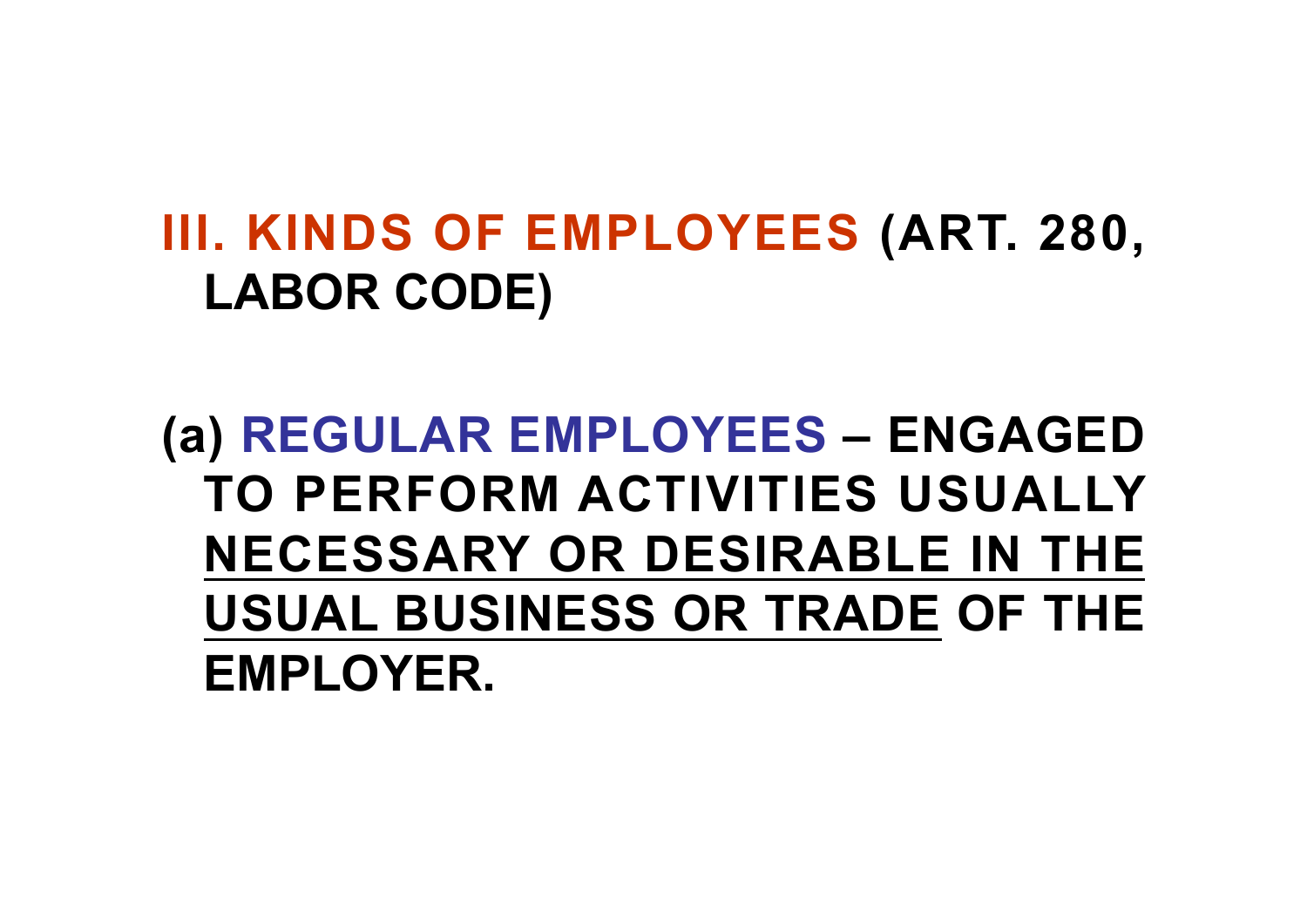# **III. KINDS OF EMPLOYEES (ART. 280, LABOR CODE)**

**(a) REGULAR EMPLOYEES – ENGAGED TO PERFORM ACTIVITIES USUALLY NECESSARY OR DESIRABLE IN THE USUAL BUSINESS OR TRADE OF THE EMPLOYER.**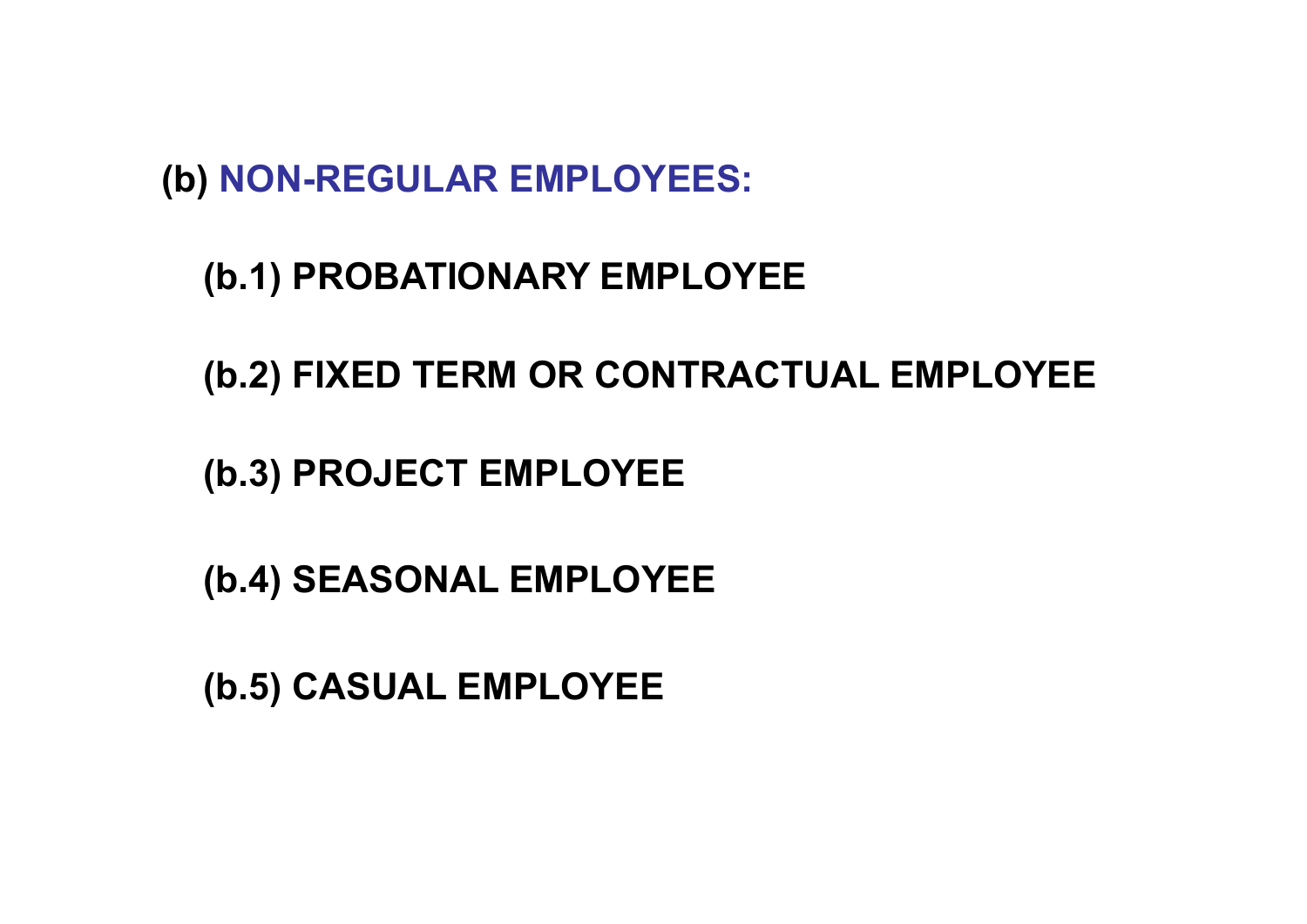**(b) NON-REGULAR EMPLOYEES:**

**(b.1) PROBATIONARY EMPLOYEE**

**(b.2) FIXED TERM OR CONTRACTUAL EMPLOYEE**

**(b.3) PROJECT EMPLOYEE**

**(b.4) SEASONAL EMPLOYEE**

**(b.5) CASUAL EMPLOYEE**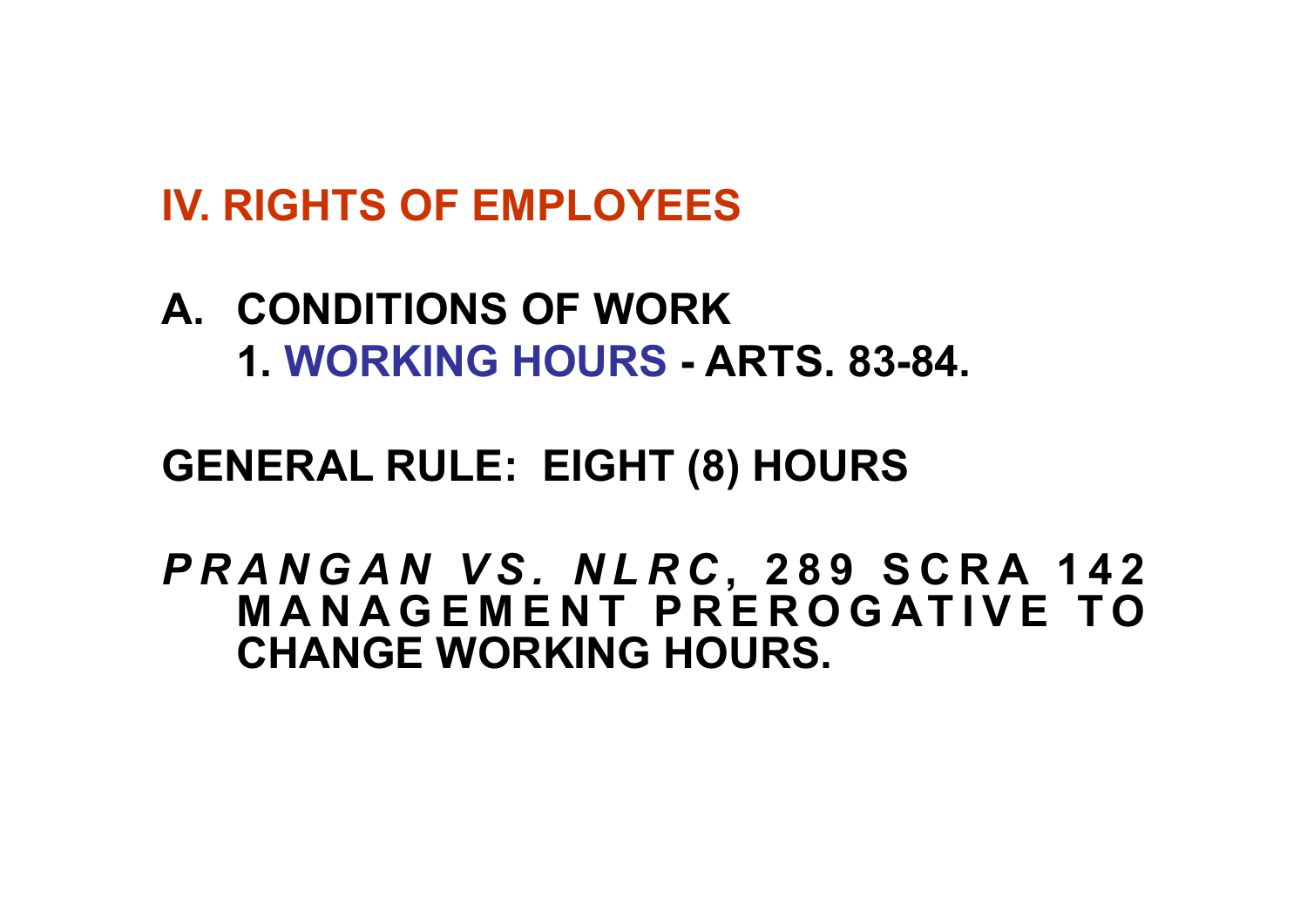#### **IV. RIGHTS OF EMPLOYEES**

#### **A. CONDITIONS OF WORK 1. WORKING HOURS - ARTS. 83-84.**

#### **GENERAL RULE: EIGHT (8) HOURS**

*P R A N G A N V S . N L R C* **, 2 8 9 S C R A 1 4 2 M A N A G E M E N T P R E R O G AT I V E T O CHANGE WORKING HOURS.**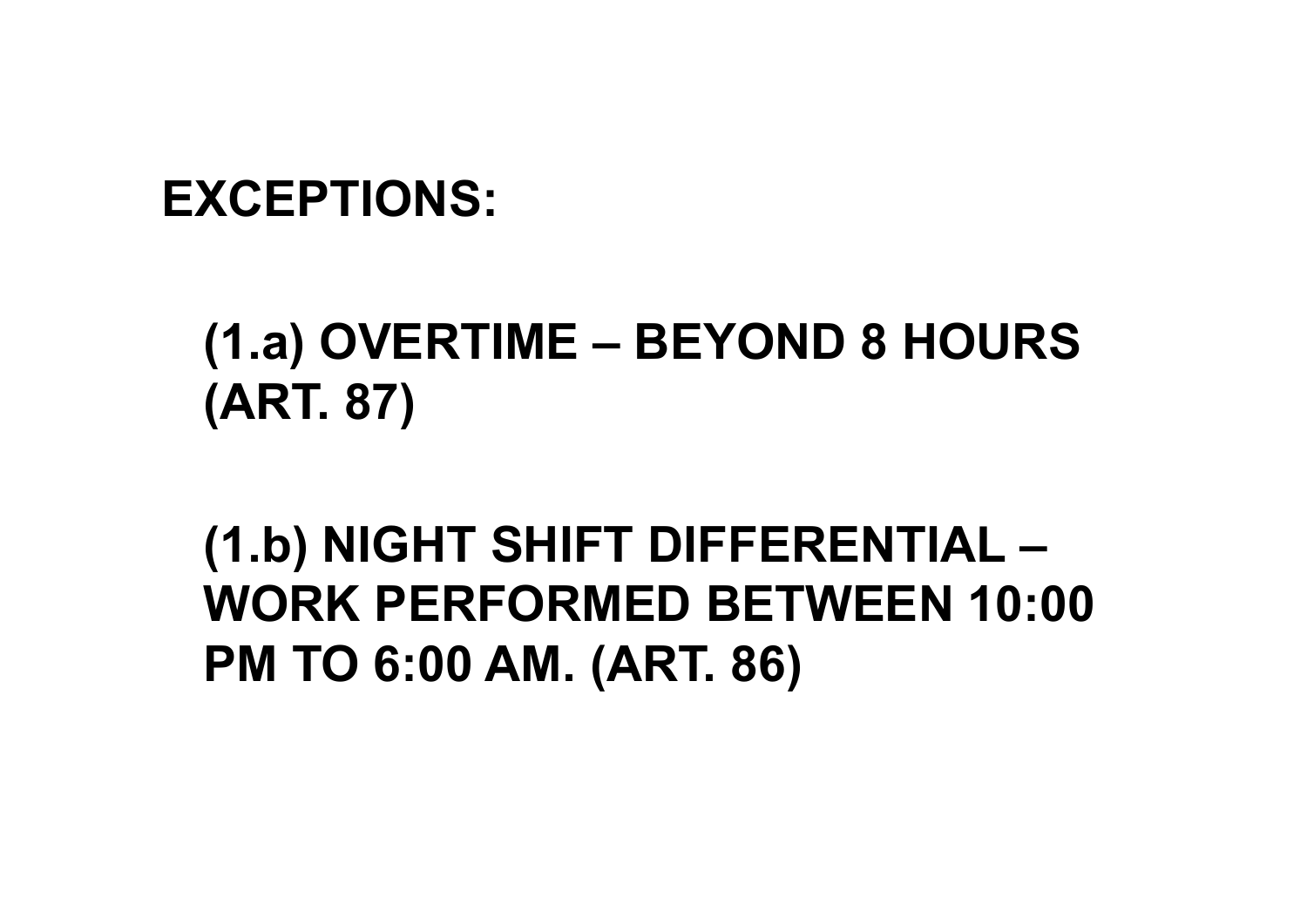#### **EXCEPTIONS:**

# **(1.a) OVERTIME – BEYOND 8 HOURS (ART. 87)**

**(1.b) NIGHT SHIFT DIFFERENTIAL – WORK PERFORMED BETWEEN 10:00 PM TO 6:00 AM. (ART. 86)**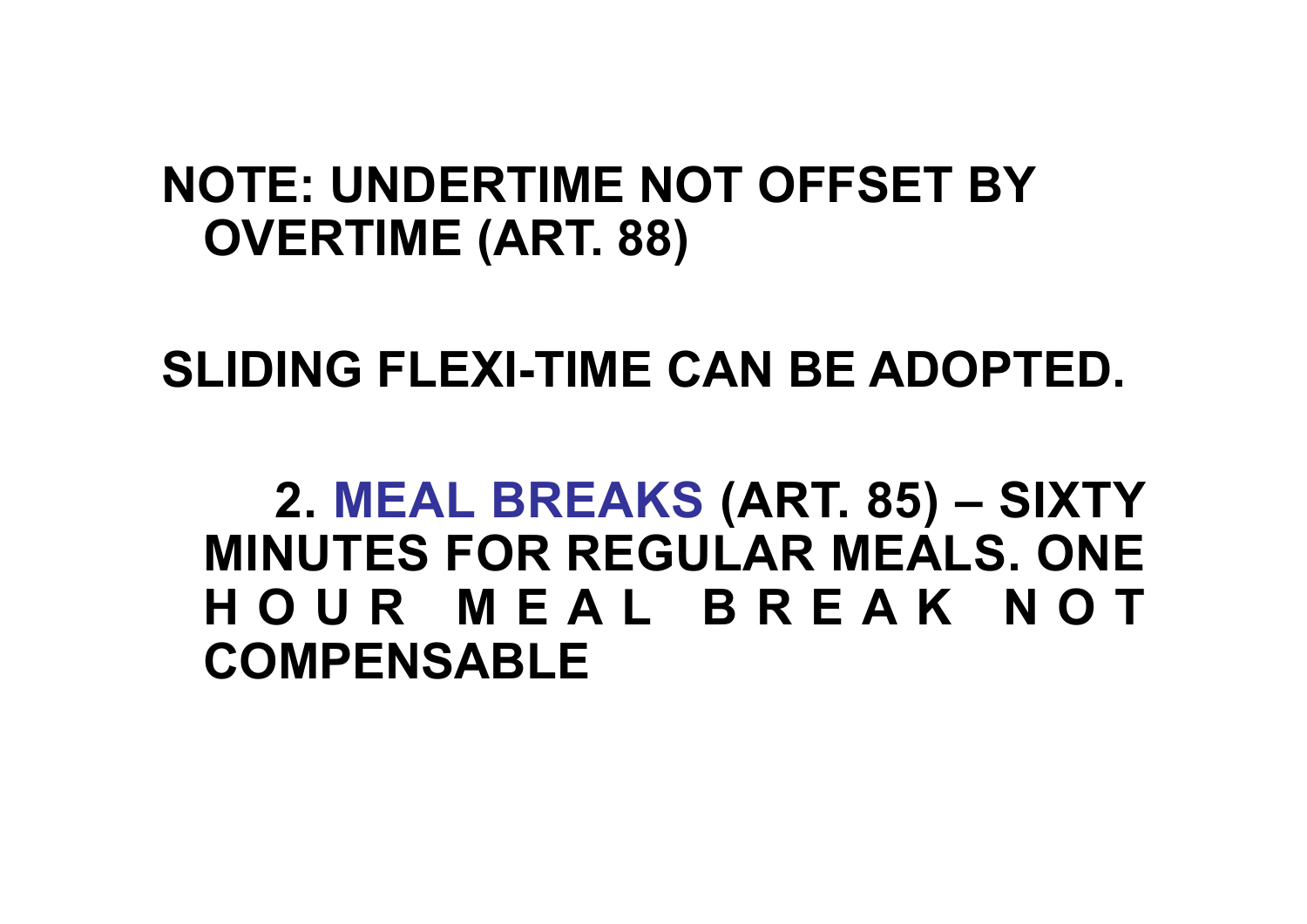#### **NOTE: UNDERTIME NOT OFFSET BY OVERTIME (ART. 88)**

**SLIDING FLEXI-TIME CAN BE ADOPTED.**

**2. MEAL BREAKS (ART. 85) – SIXTY MINUTES FOR REGULAR MEALS. ONE H O U R M E A L B R E A K N O T COMPENSABLE**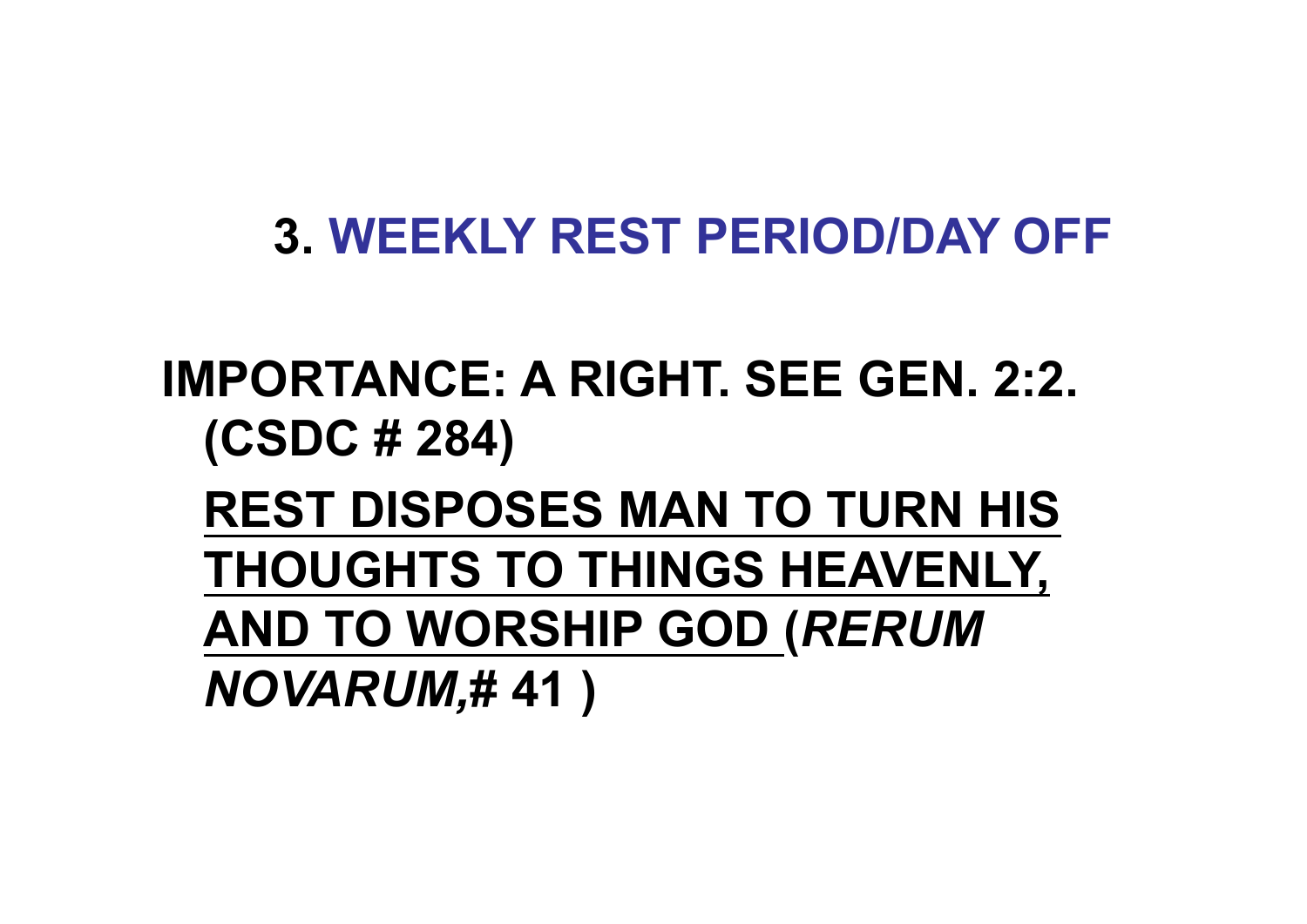### **3. WEEKLY REST PERIOD/DAY OFF**

**IMPORTANCE: A RIGHT. SEE GEN. 2:2. (CSDC # 284)**

**REST DISPOSES MAN TO TURN HIS THOUGHTS TO THINGS HEAVENLY, AND TO WORSHIP GOD (***RERUM NOVARUM,***# 41 )**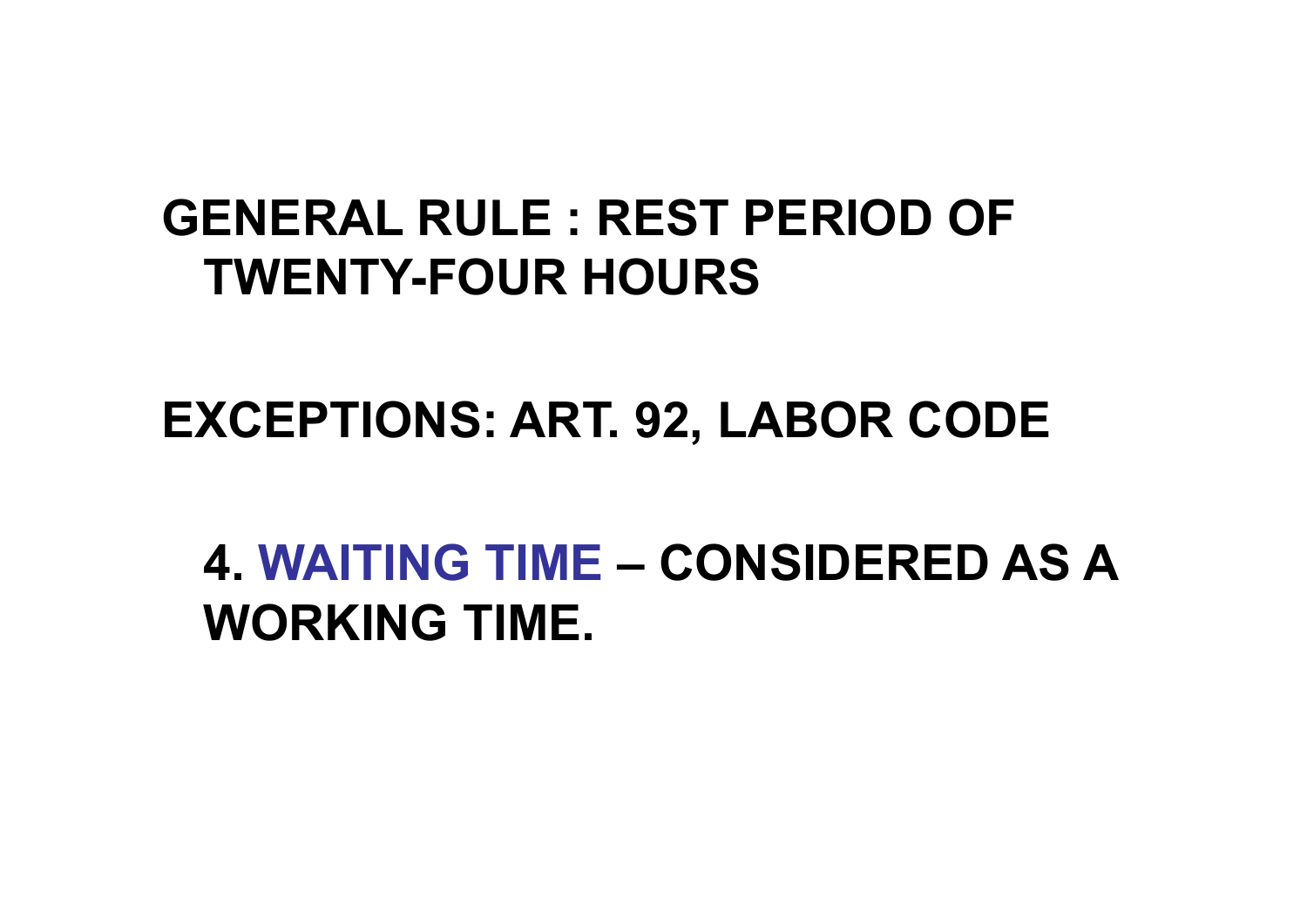### **GENERAL RULE : REST PERIOD OF TWENTY-FOUR HOURS**

#### **EXCEPTIONS: ART. 92, LABOR CODE**

### **4. WAITING TIME – CONSIDERED AS A WORKING TIME.**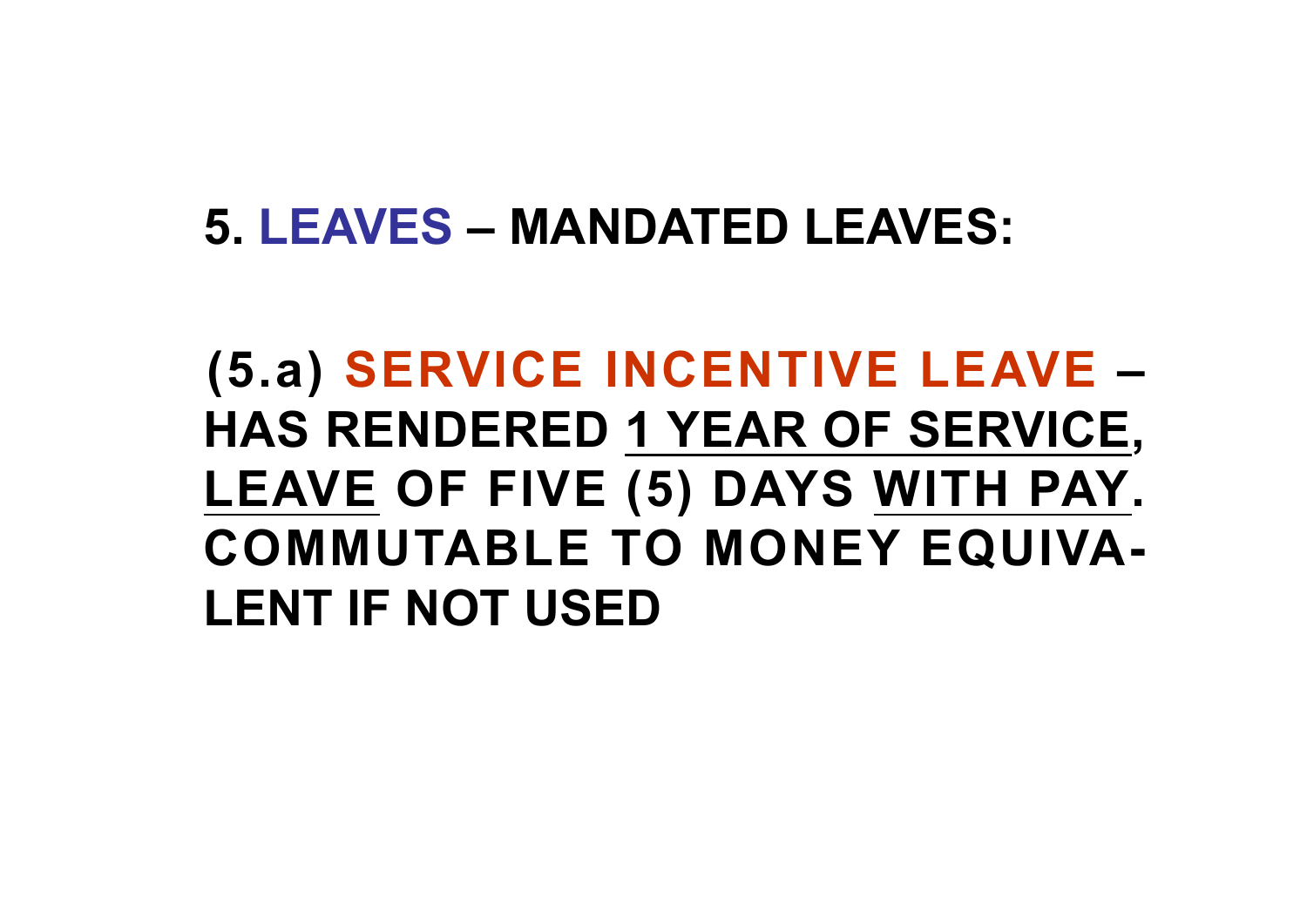#### **5. LEAVES – MANDATED LEAVES:**

# **(5.a) SERVICE INCENTIVE LEAVE – HAS RENDERED 1 YEAR OF SERVICE, LEAVE OF FIVE (5) DAYS WITH PAY. COMMUTABLE TO MONEY EQUIVA-LENT IF NOT USED**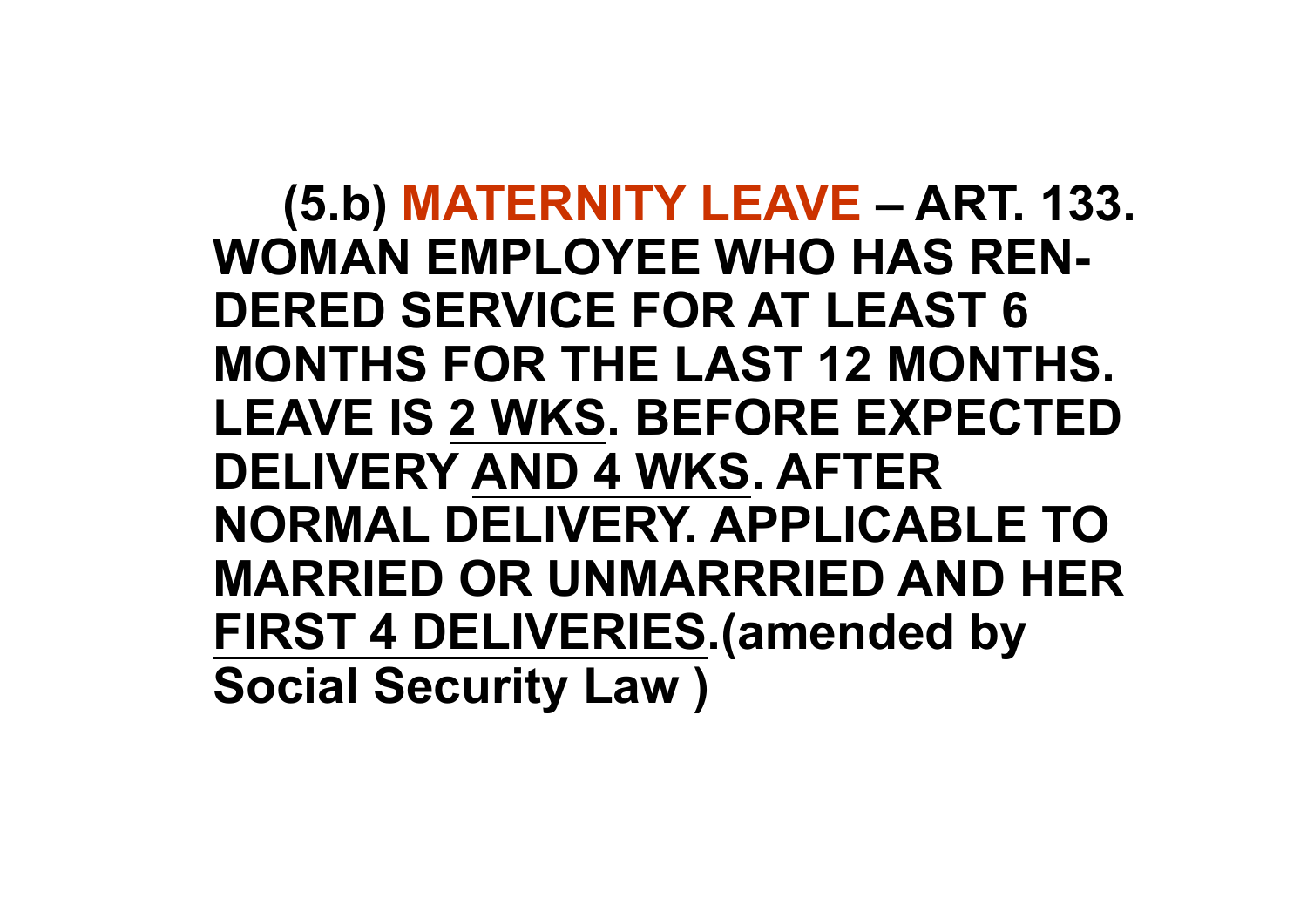**(5.b) MATERNITY LEAVE – ART. 133. WOMAN EMPLOYEE WHO HAS REN-DERED SERVICE FOR AT LEAST 6 MONTHS FOR THE LAST 12 MONTHS. LEAVE IS 2 WKS. BEFORE EXPECTED DELIVERY AND 4 WKS. AFTER NORMAL DELIVERY. APPLICABLE TO MARRIED OR UNMARRRIED AND HER FIRST 4 DELIVERIES.(amended by Social Security Law )**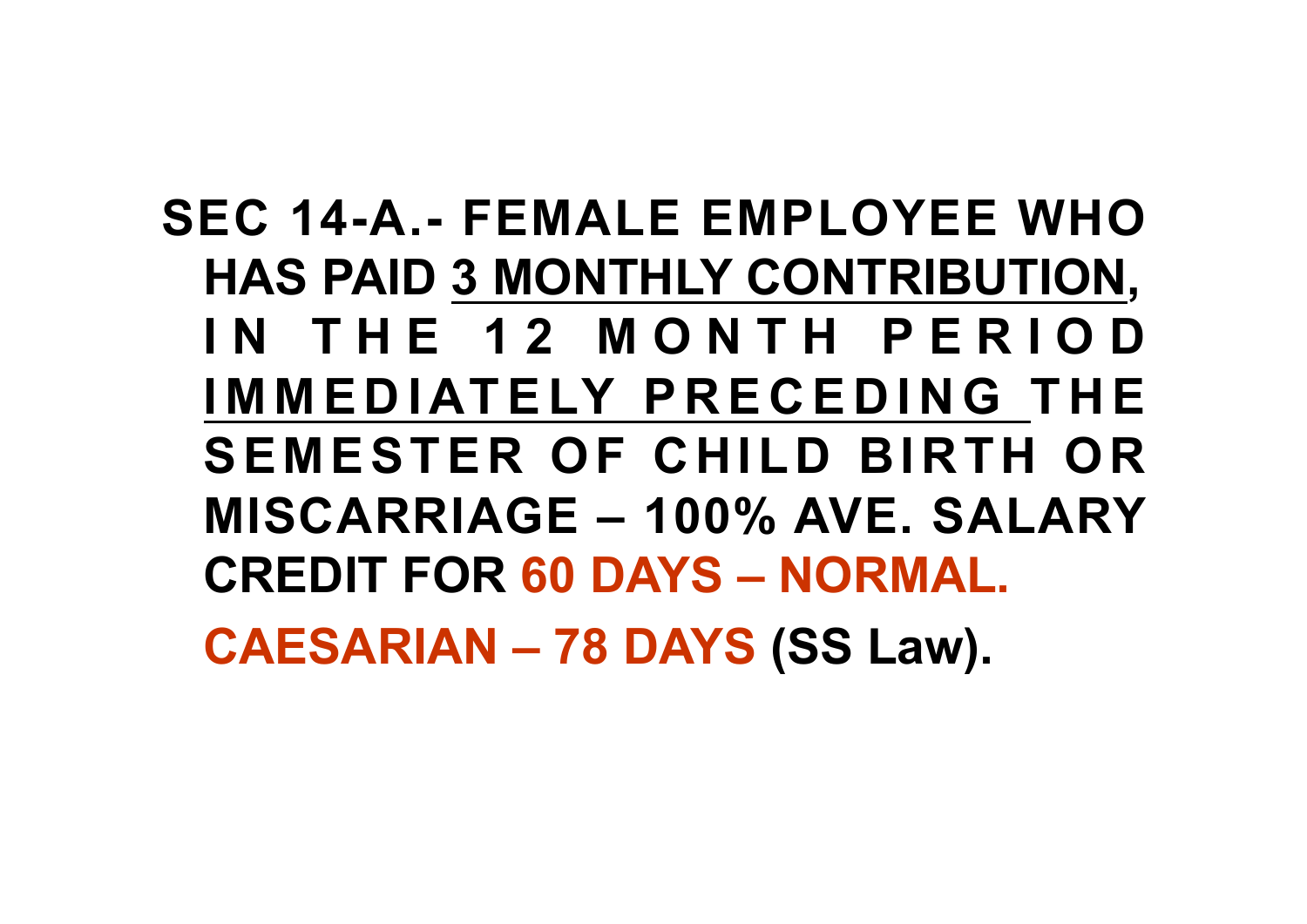# **SEC 14-A.- FEMALE EMPLOYEE WHO HAS PAID 3 MONTHLY CONTRIBUTION, I N T H E 1 2 M O N T H P E R I O D I M M E D I AT E LY P R E C E D I N G T H E SEMESTER OF CHILD BIRTH OR MISCARRIAGE – 100% AVE. SALARY CREDIT FOR 60 DAYS – NORMAL.**

**CAESARIAN – 78 DAYS (SS Law).**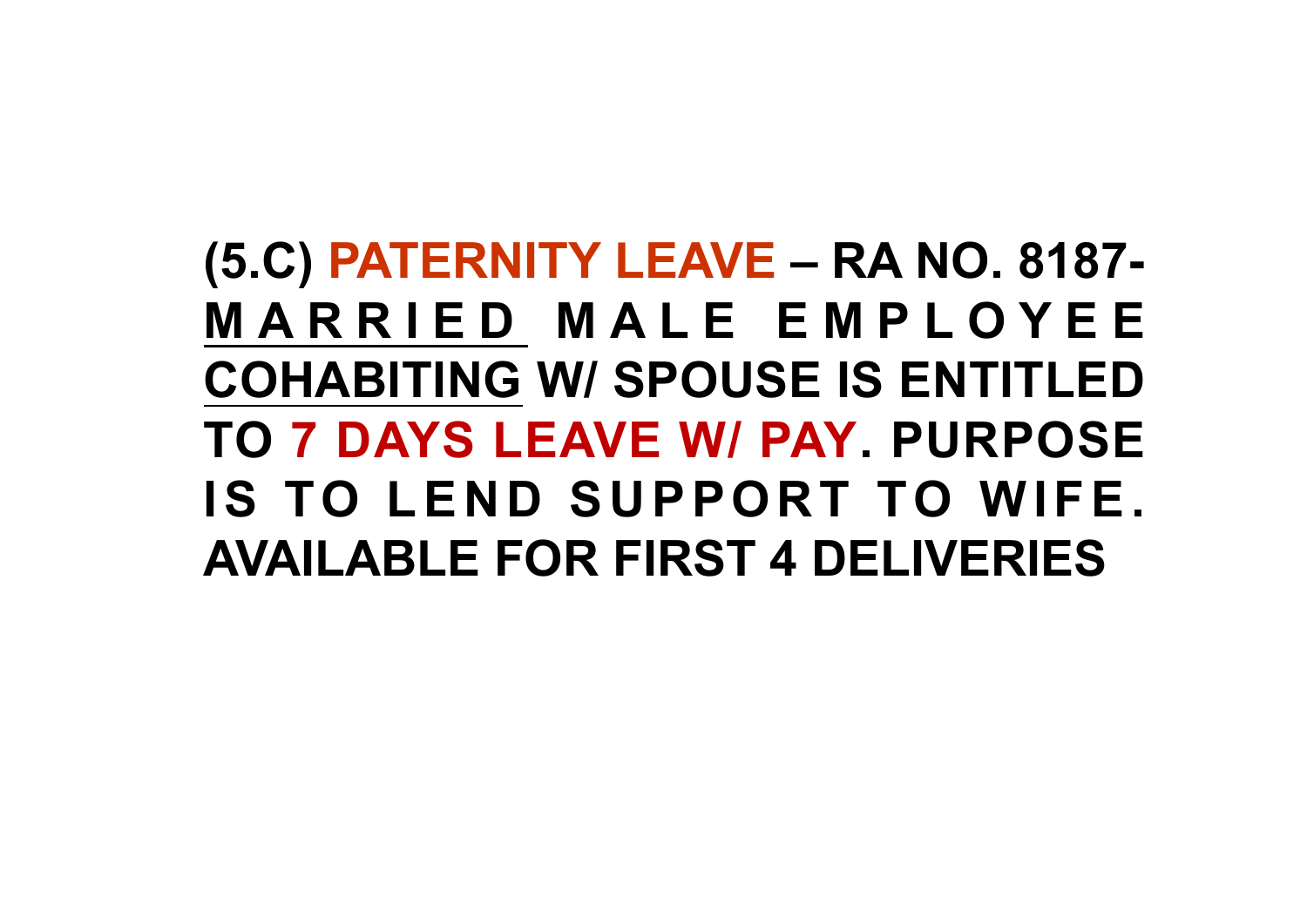**(5.C) PATERNITY LEAVE – RA NO. 8187- M A R R I E D M A L E E M P L O Y E E COHABITING W/ SPOUSE IS ENTITLED TO 7 DAYS LEAVE W/ PAY. PURPOSE IS TO LEND SUPPORT TO WIFE. AVAILABLE FOR FIRST 4 DELIVERIES**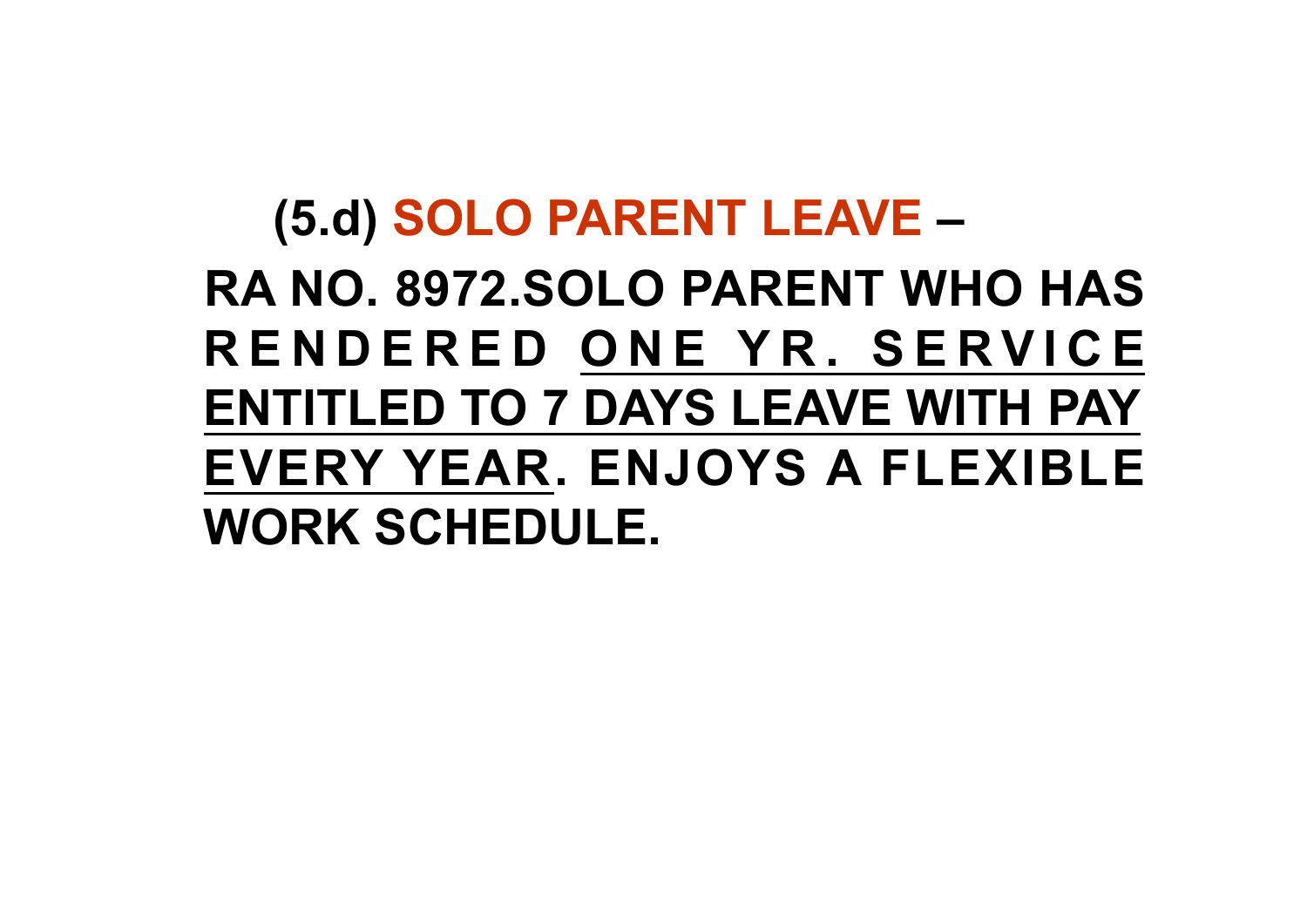# **(5.d) SOLO PARENT LEAVE – RA NO. 8972.SOLO PARENT WHO HAS R E N D E R E D O N E Y R . S E R V I C E ENTITLED TO 7 DAYS LEAVE WITH PAY EVERY YEAR. ENJOYS A FLEXIBLE WORK SCHEDULE.**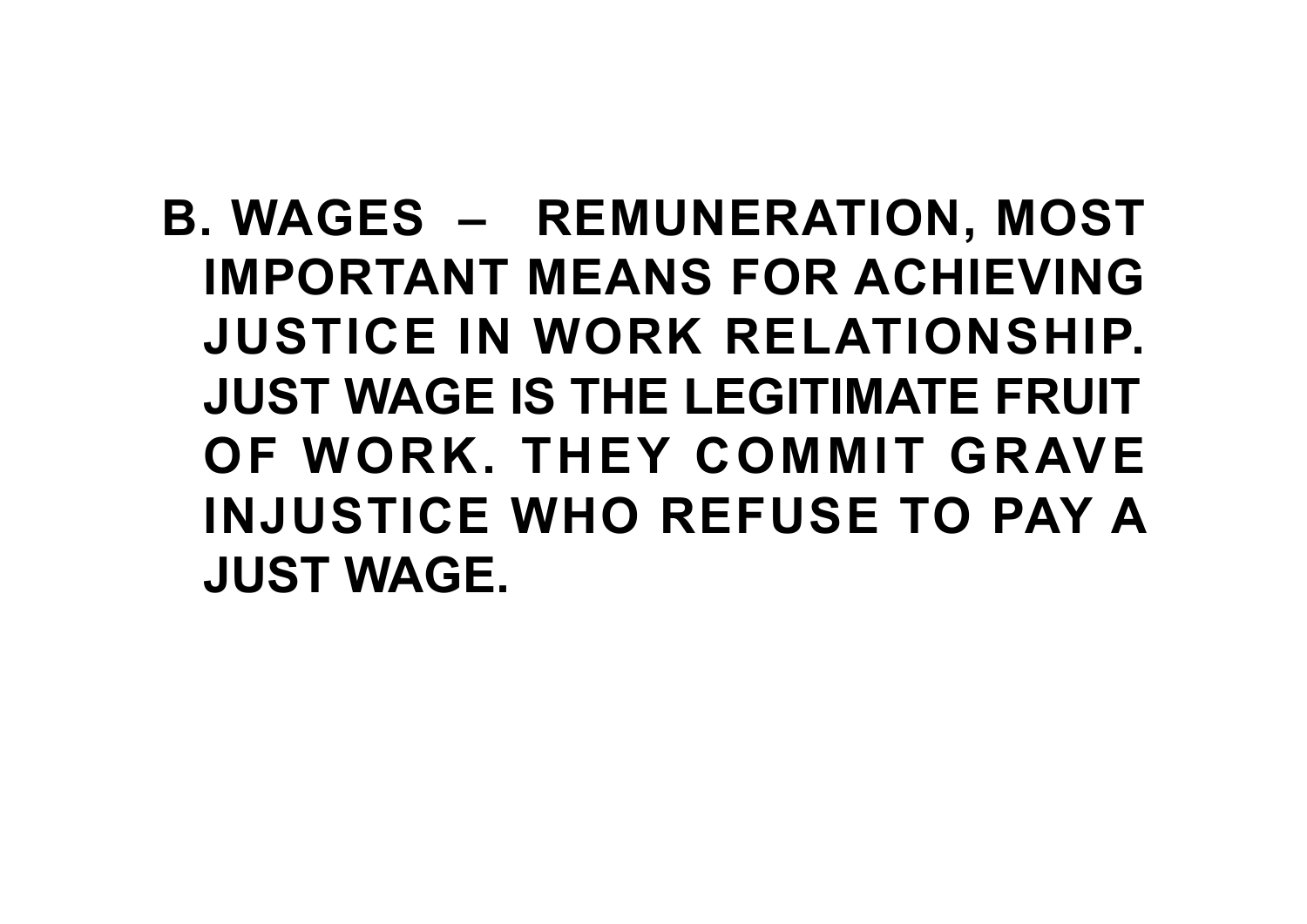**B. WAGES – REMUNERATION, MOST IMPORTANT MEANS FOR ACHIEVING JUSTICE IN WORK RELATIONSHIP. JUST WAGE IS THE LEGITIMATE FRUIT OF WORK. THEY COMMIT GRAVE INJUSTICE WHO REFUSE TO PAY A JUST WAGE.**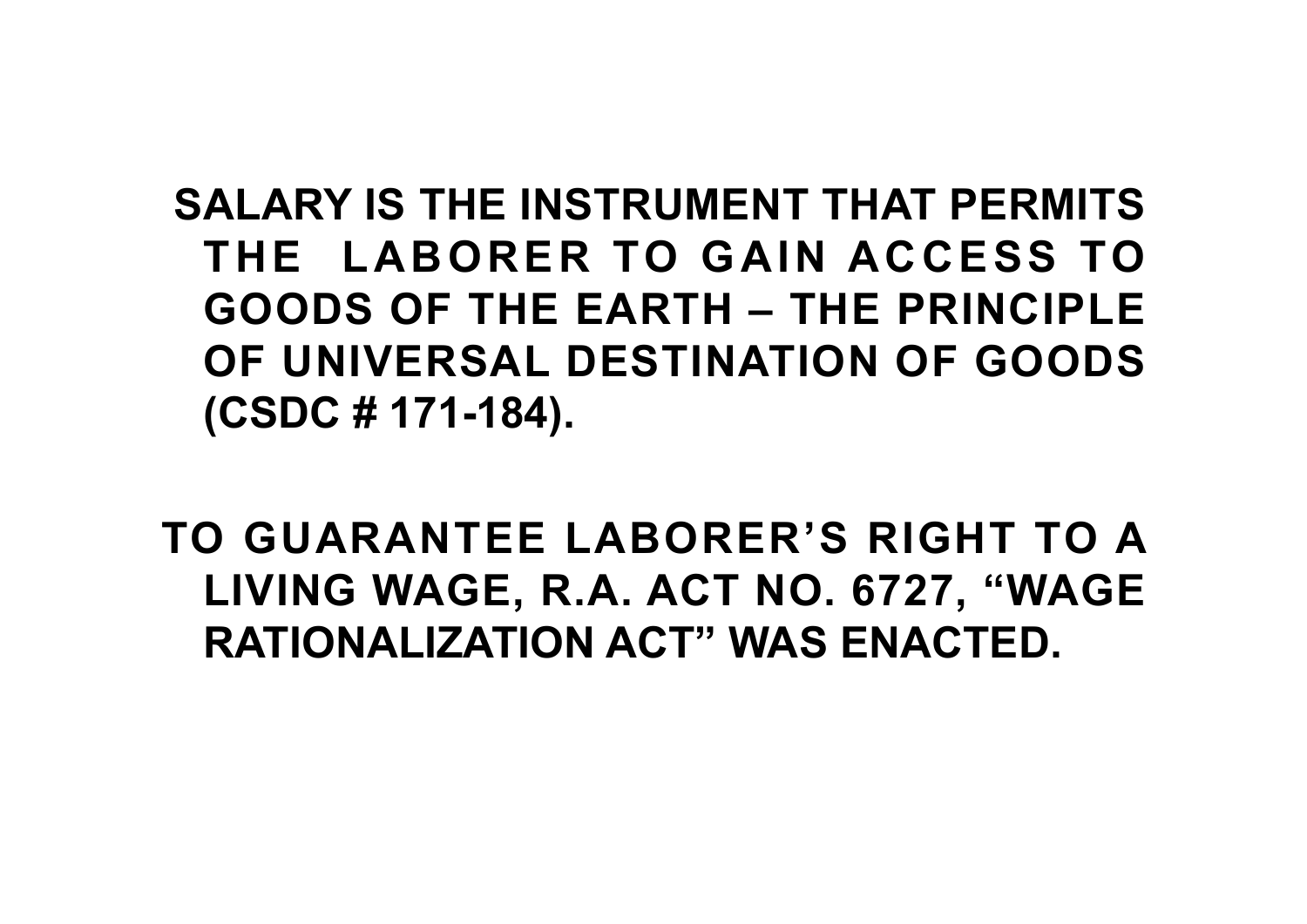**SALARY IS THE INSTRUMENT THAT PERMITS THE LABORER TO GAIN ACCESS TO GOODS OF THE EARTH – THE PRINCIPLE OF UNIVERSAL DESTINATION OF GOODS (CSDC # 171-184).** 

**TO GUARANTEE LABORER'S RIGHT TO A LIVING WAGE, R.A. ACT NO. 6727, "WAGE RATIONALIZATION ACT" WAS ENACTED.**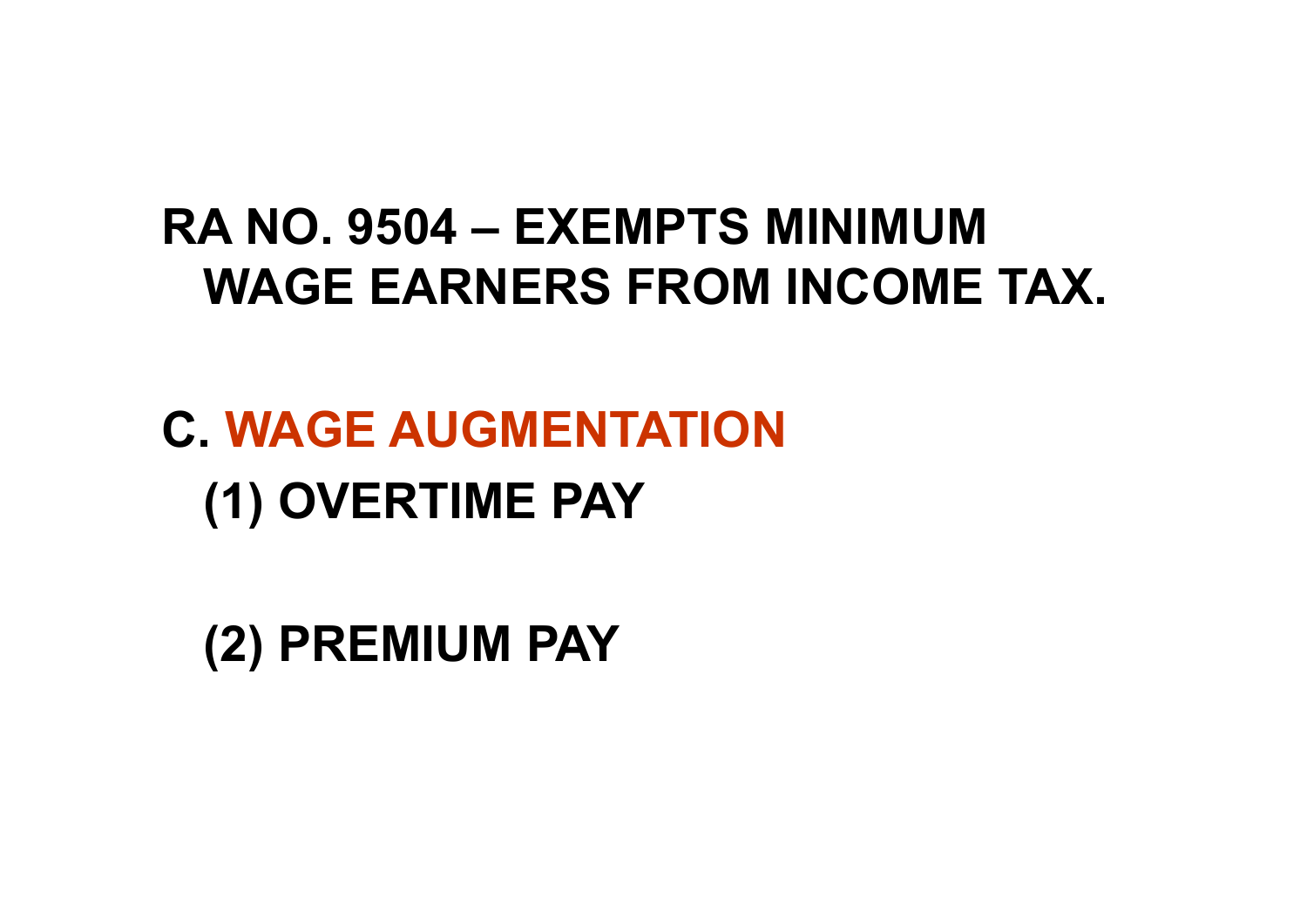#### **RA NO. 9504 – EXEMPTS MINIMUM WAGE EARNERS FROM INCOME TAX.**

**C. WAGE AUGMENTATION (1) OVERTIME PAY**

**(2) PREMIUM PAY**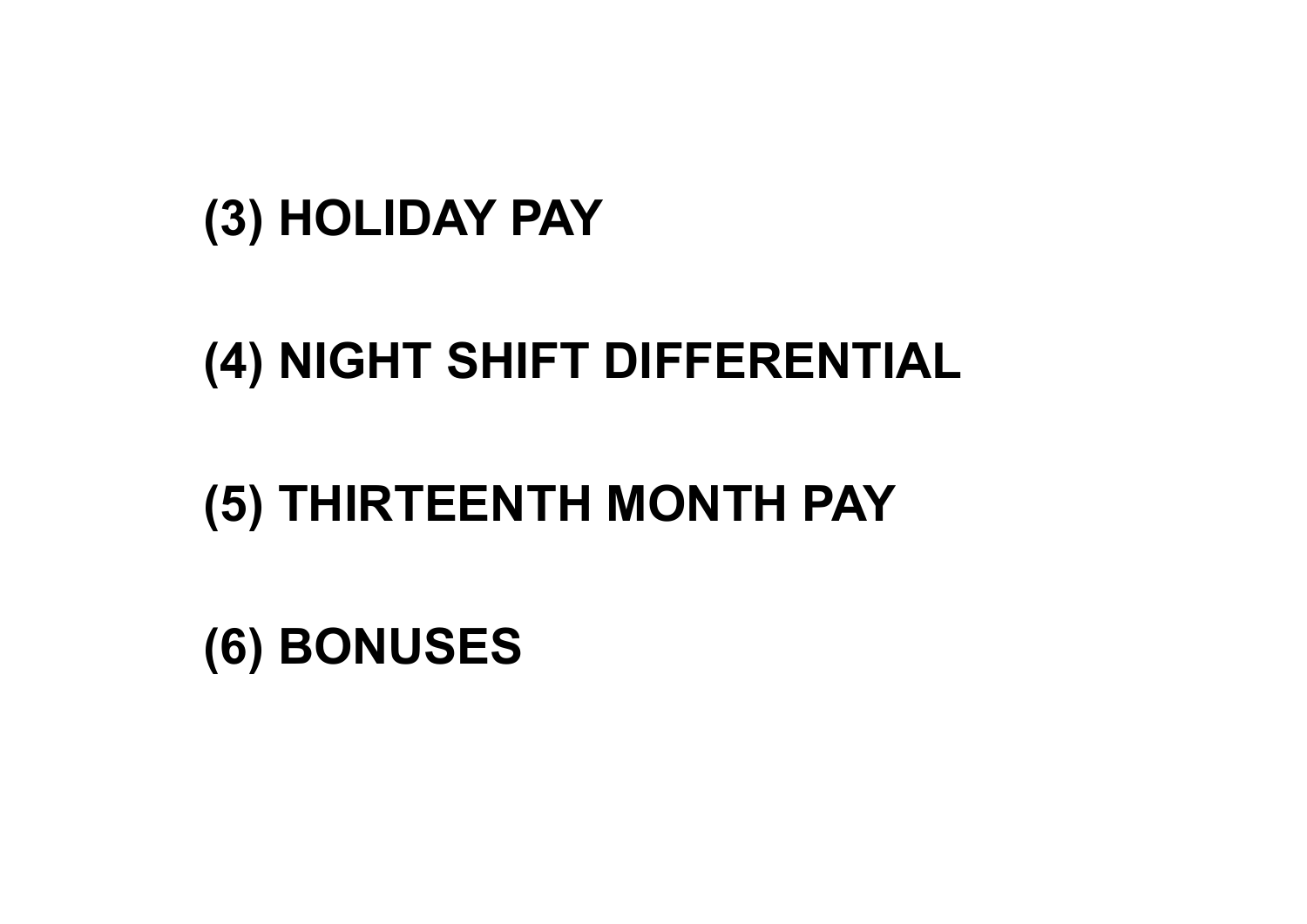## **(6) BONUSES**

### **(5) THIRTEENTH MONTH PAY**

# **(4) NIGHT SHIFT DIFFERENTIAL**

### **(3) HOLIDAY PAY**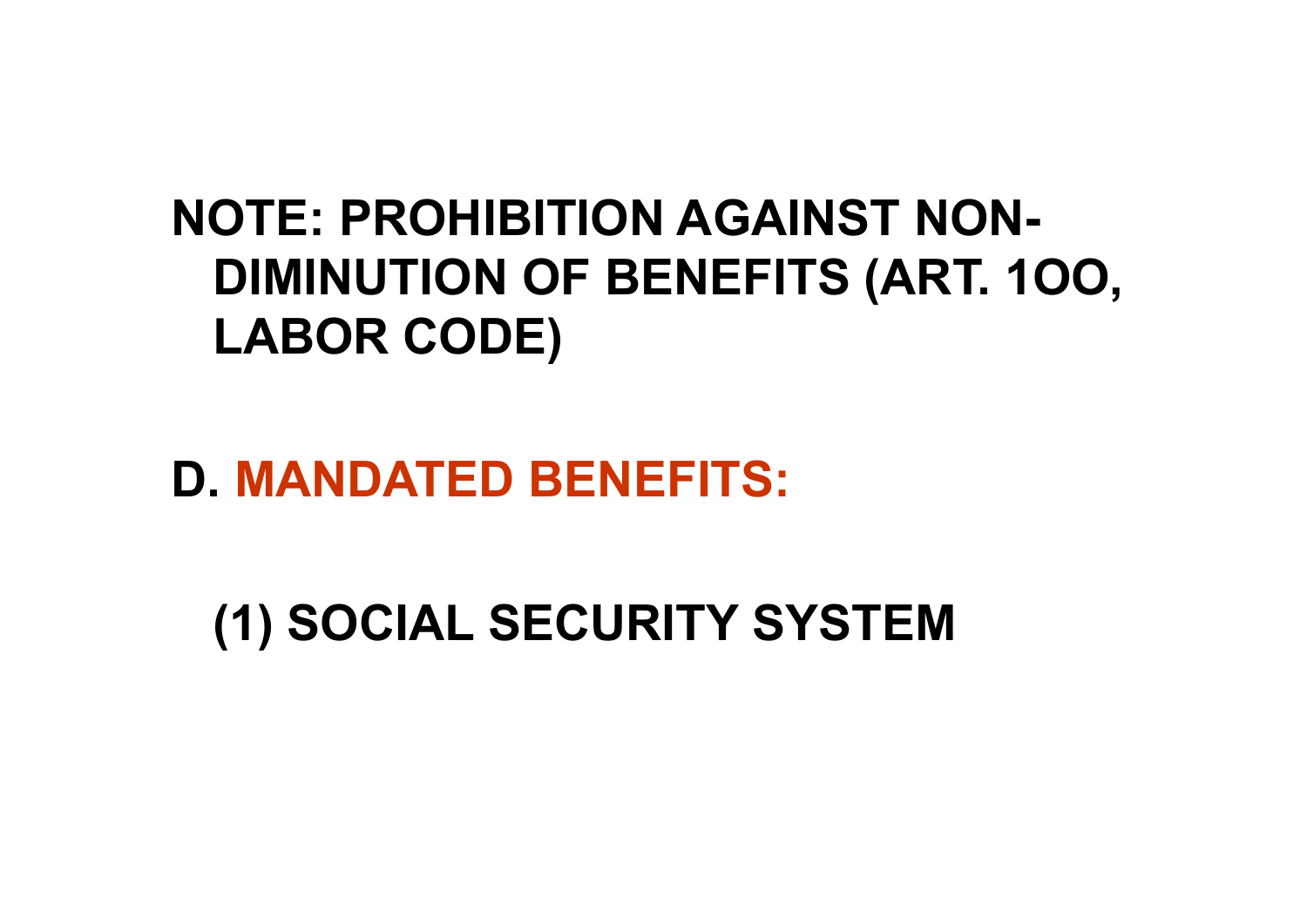## **NOTE: PROHIBITION AGAINST NON-DIMINUTION OF BENEFITS (ART. 1OO, LABOR CODE)**

### **D. MANDATED BENEFITS:**

**(1) SOCIAL SECURITY SYSTEM**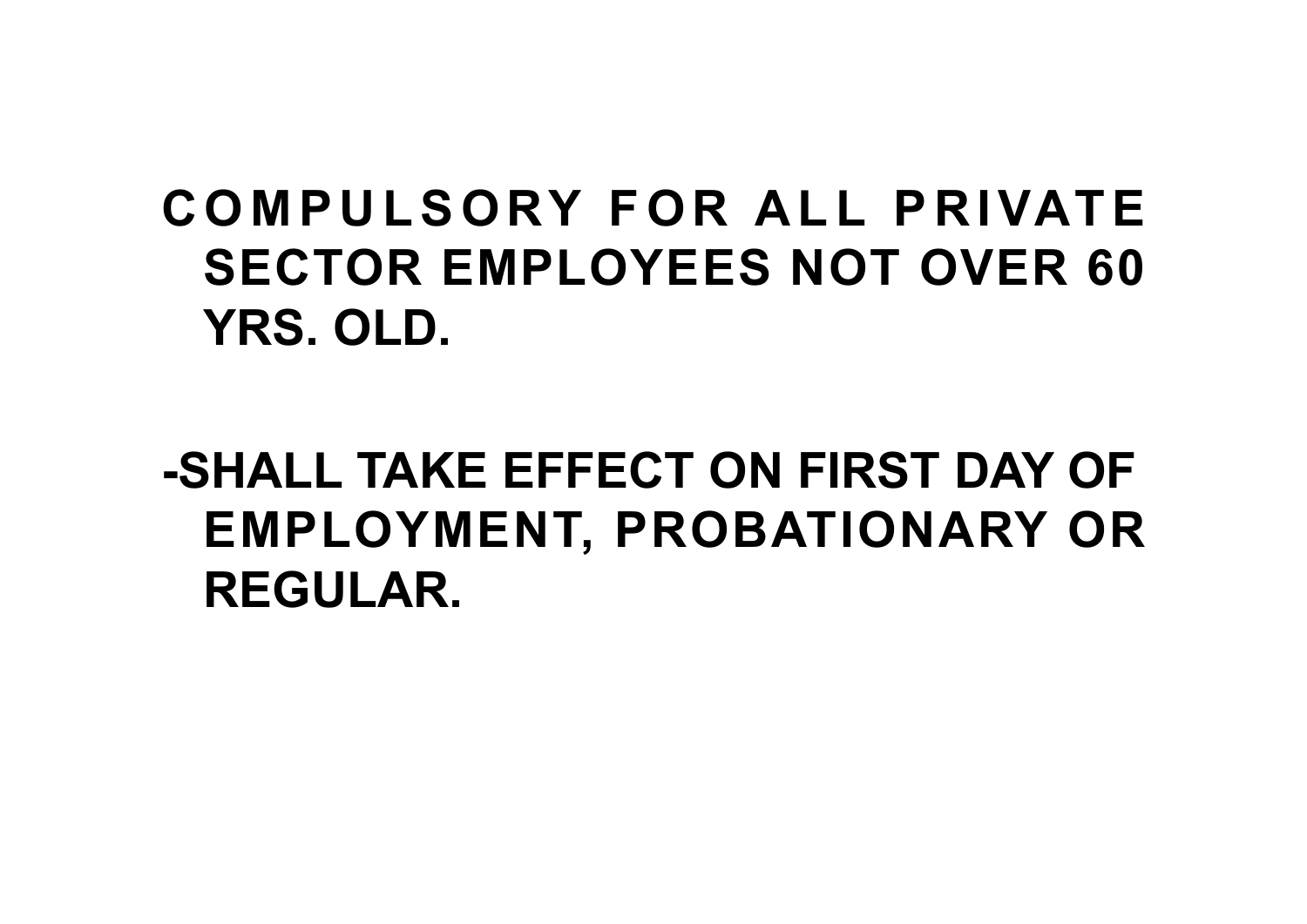# **C O M P U L S O RY F O R A L L P R I VAT E SECTOR EMPLOYEES NOT OVER 60 YRS. OLD.**

# **-SHALL TAKE EFFECT ON FIRST DAY OF EMPLOYMENT, PROBATIONARY OR REGULAR.**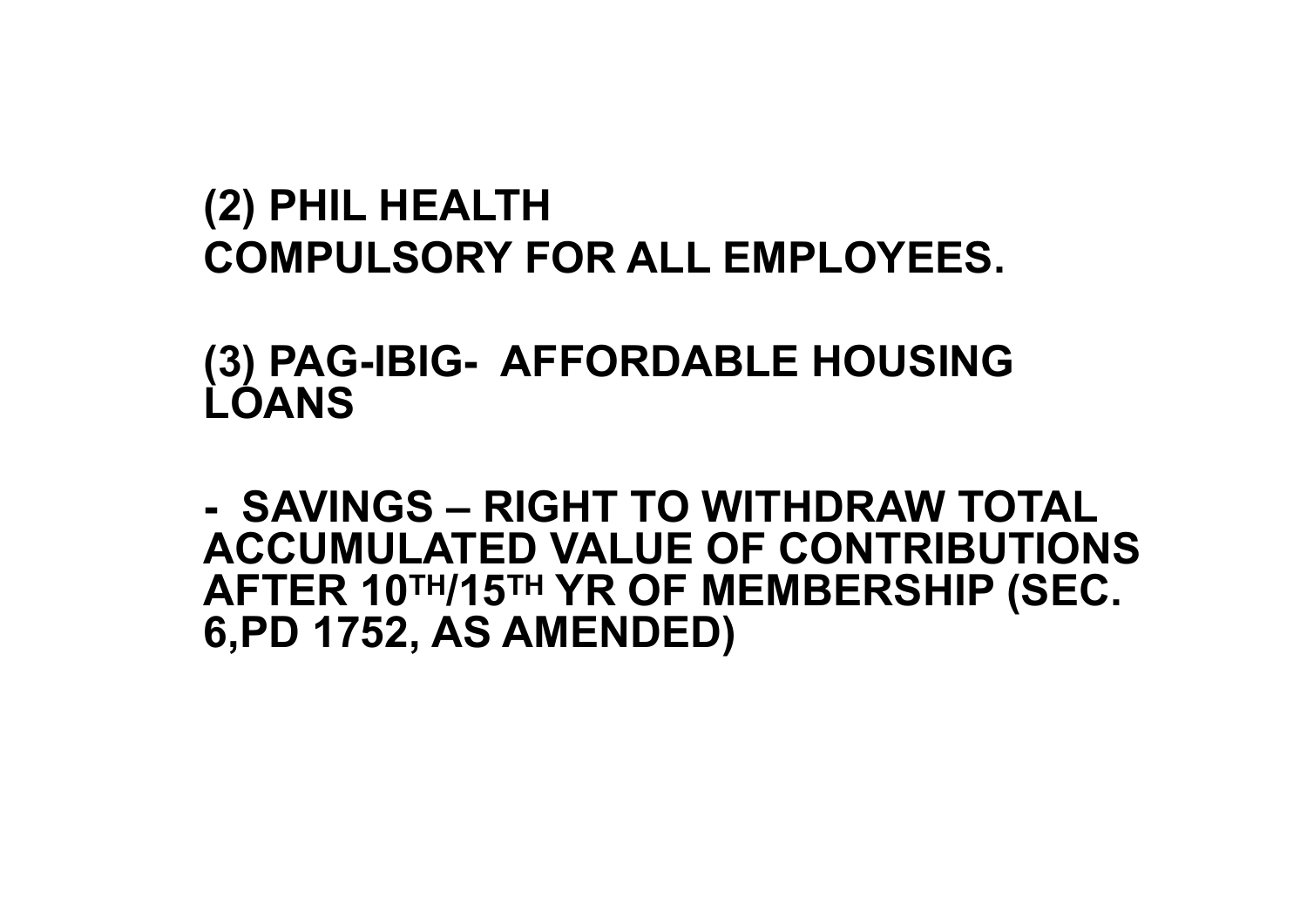#### **(2) PHIL HEALTH COMPULSORY FOR ALL EMPLOYEES.**

**(3) PAG-IBIG- AFFORDABLE HOUSING LOANS**

**- SAVINGS – RIGHT TO WITHDRAW TOTAL ACCUMULATED VALUE OF CONTRIBUTIONS AFTER 10TH/15TH YR OF MEMBERSHIP (SEC. 6,PD 1752, AS AMENDED)**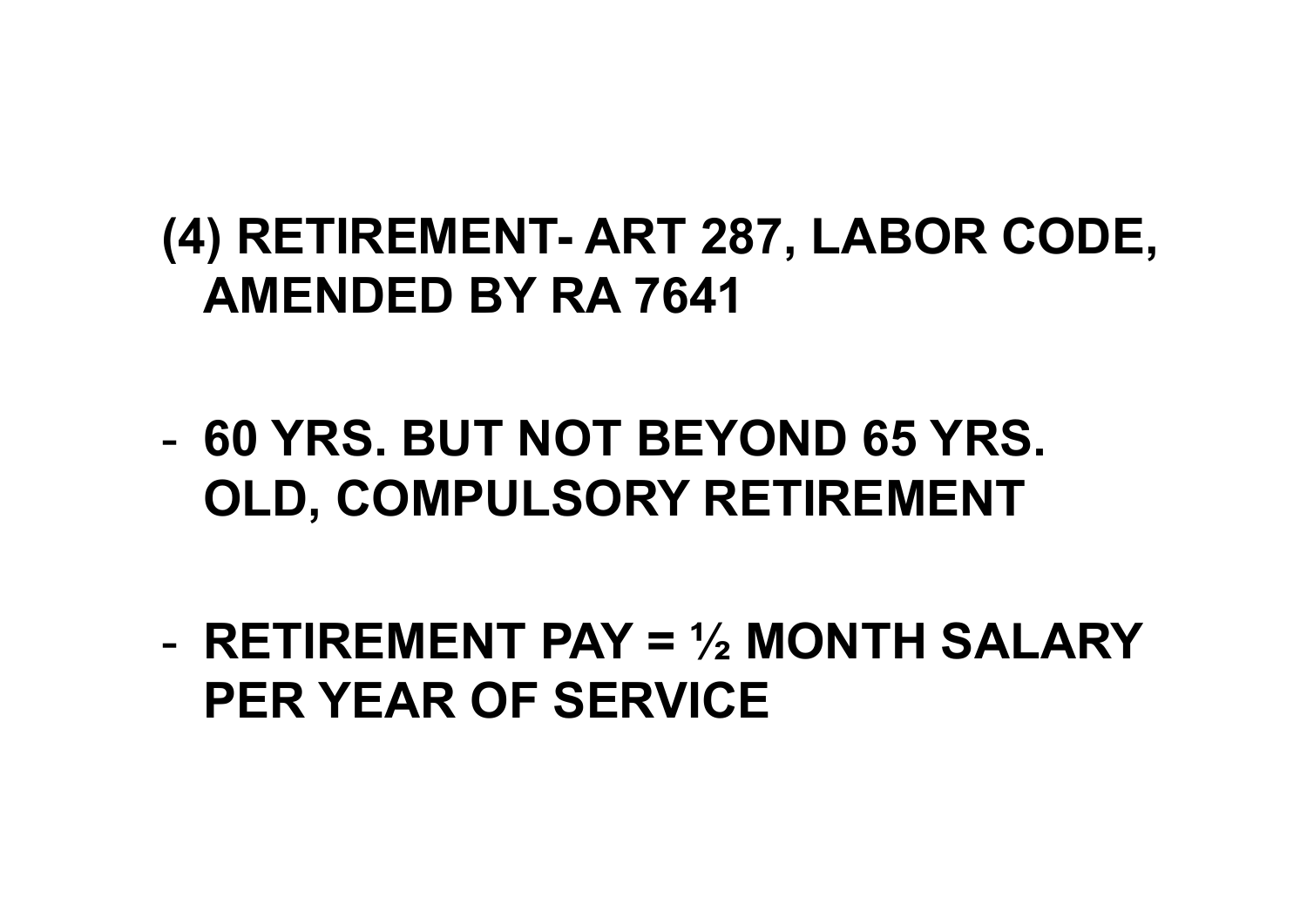### **(4) RETIREMENT- ART 287, LABOR CODE, AMENDED BY RA 7641**

- **60 YRS. BUT NOT BEYOND 65 YRS. OLD, COMPULSORY RETIREMENT**
- **RETIREMENT PAY = ½ MONTH SALARY PER YEAR OF SERVICE**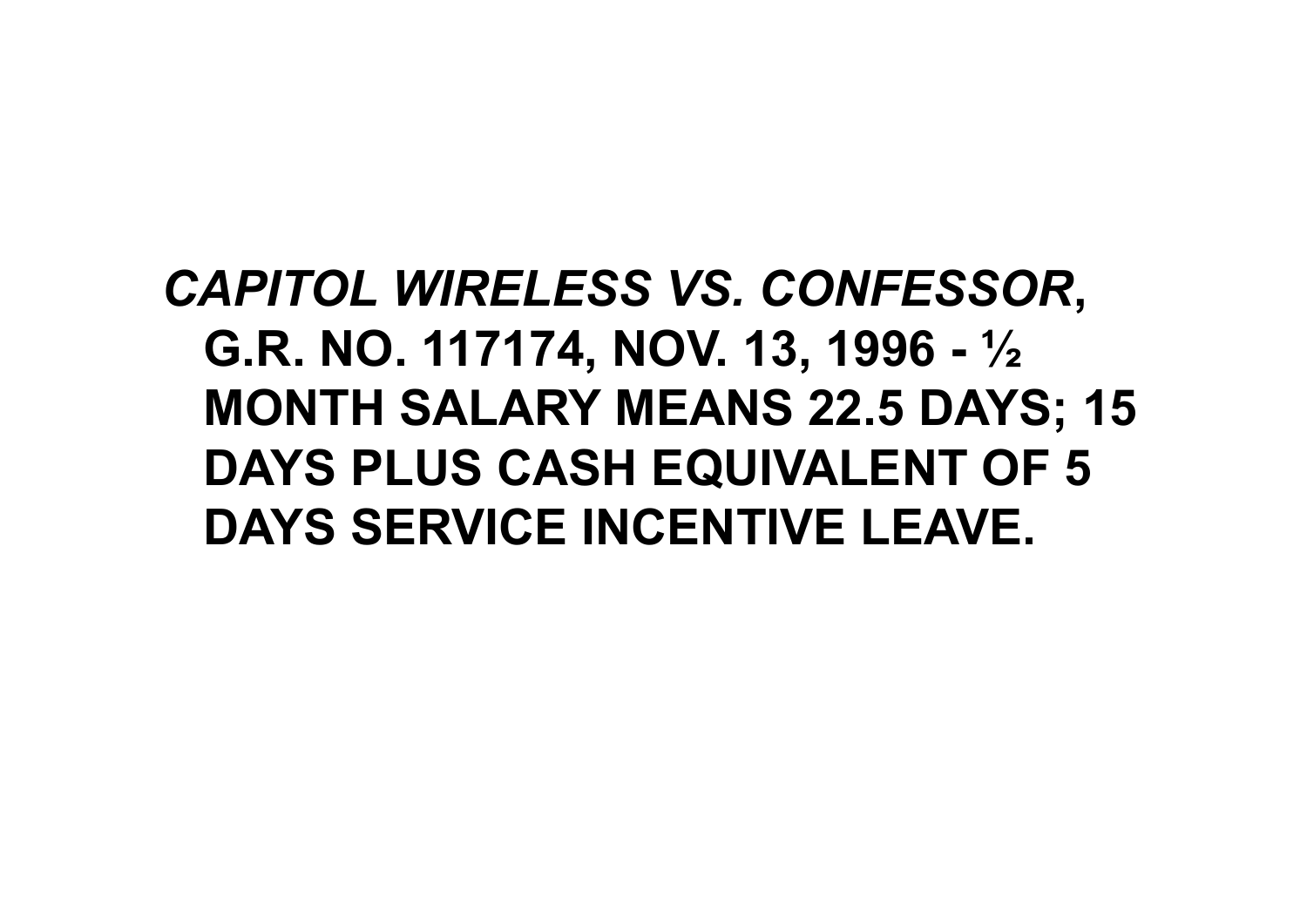# *CAPITOL WIRELESS VS. CONFESSOR***, G.R. NO. 117174, NOV. 13, 1996 - ½ MONTH SALARY MEANS 22.5 DAYS; 15 DAYS PLUS CASH EQUIVALENT OF 5 DAYS SERVICE INCENTIVE LEAVE.**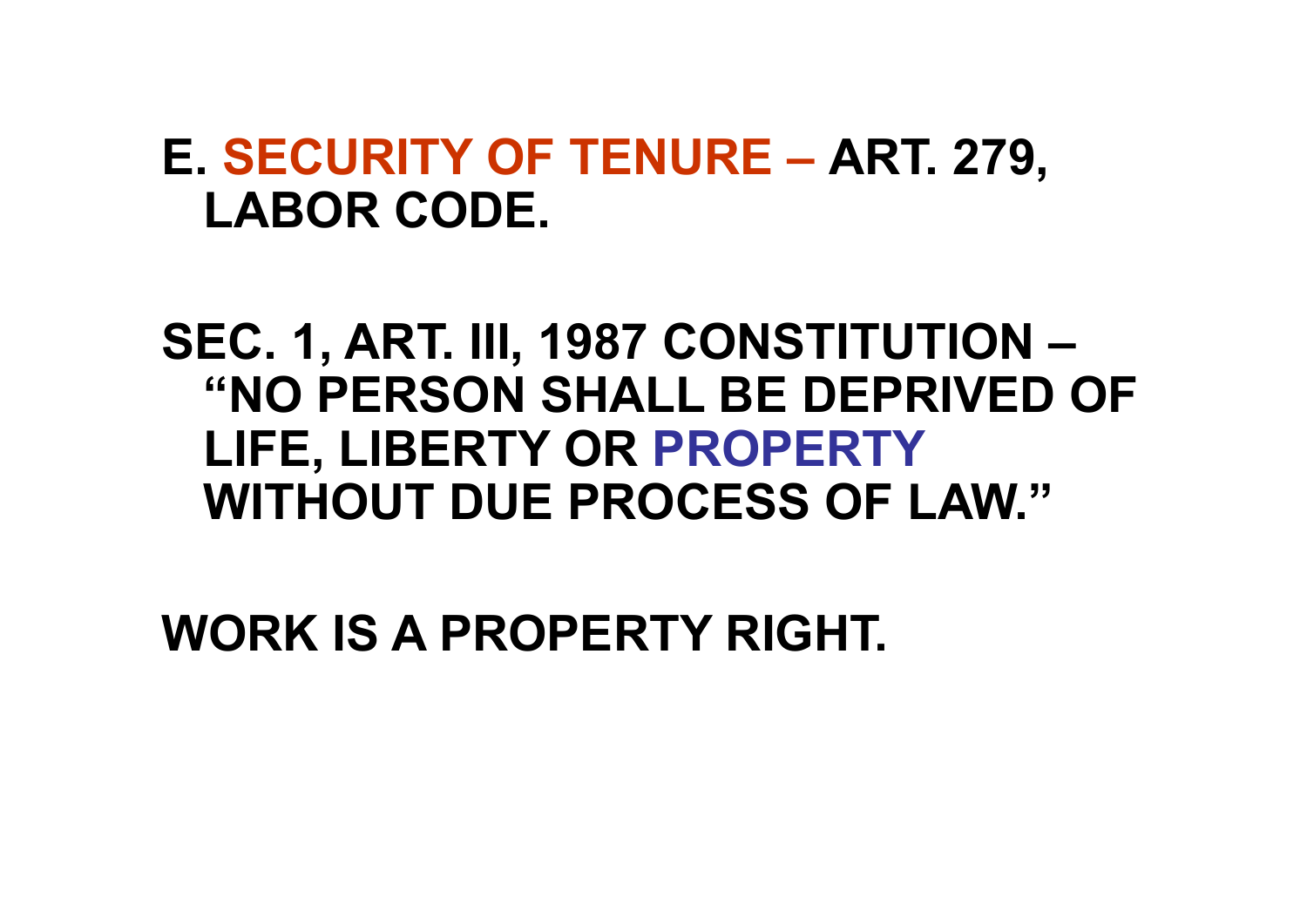#### **E. SECURITY OF TENURE – ART. 279, LABOR CODE.**

**SEC. 1, ART. III, 1987 CONSTITUTION – "NO PERSON SHALL BE DEPRIVED OF LIFE, LIBERTY OR PROPERTY WITHOUT DUE PROCESS OF LAW."**

**WORK IS A PROPERTY RIGHT.**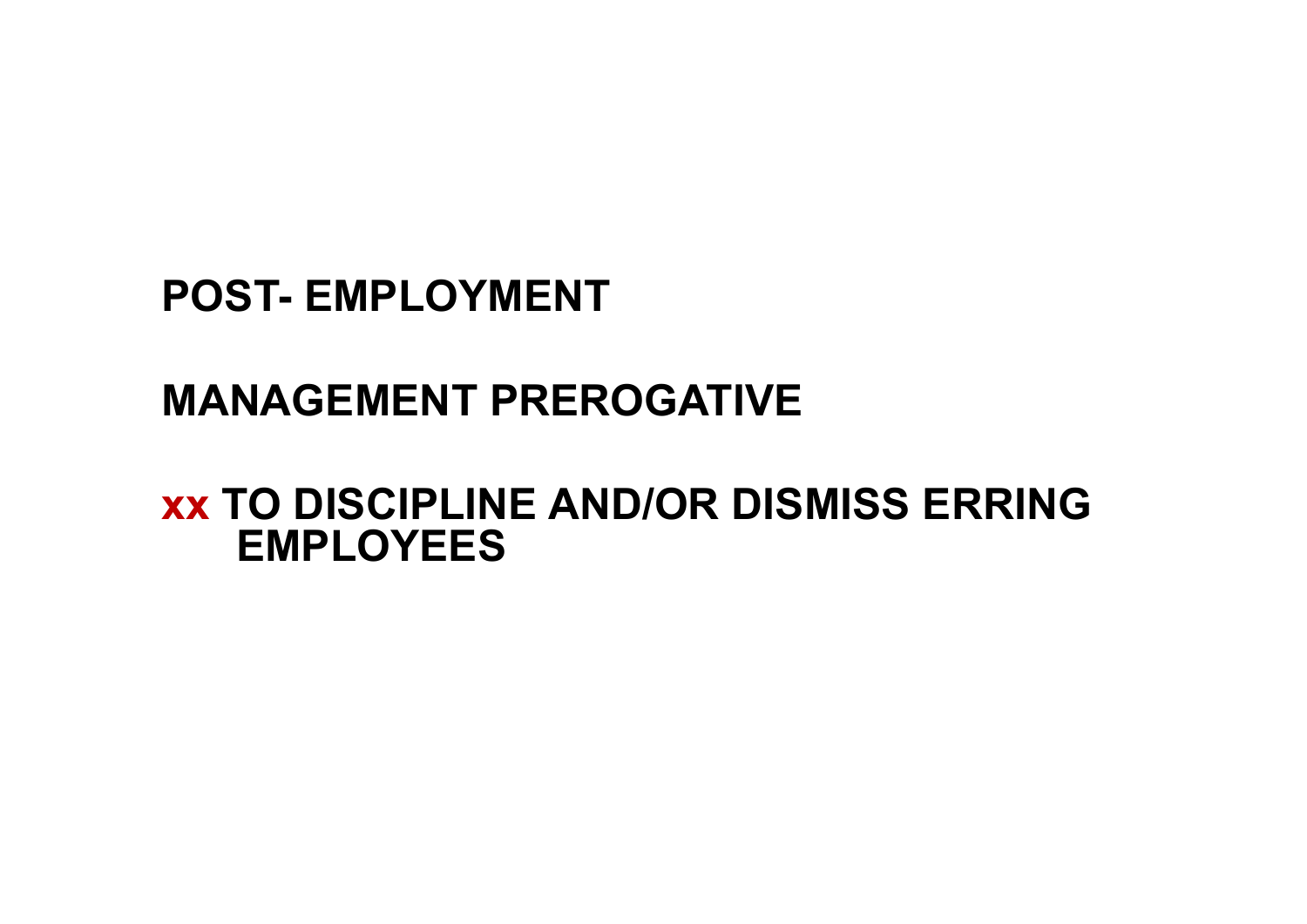**POST- EMPLOYMENT**

#### **MANAGEMENT PREROGATIVE**

**xx TO DISCIPLINE AND/OR DISMISS ERRING EMPLOYEES**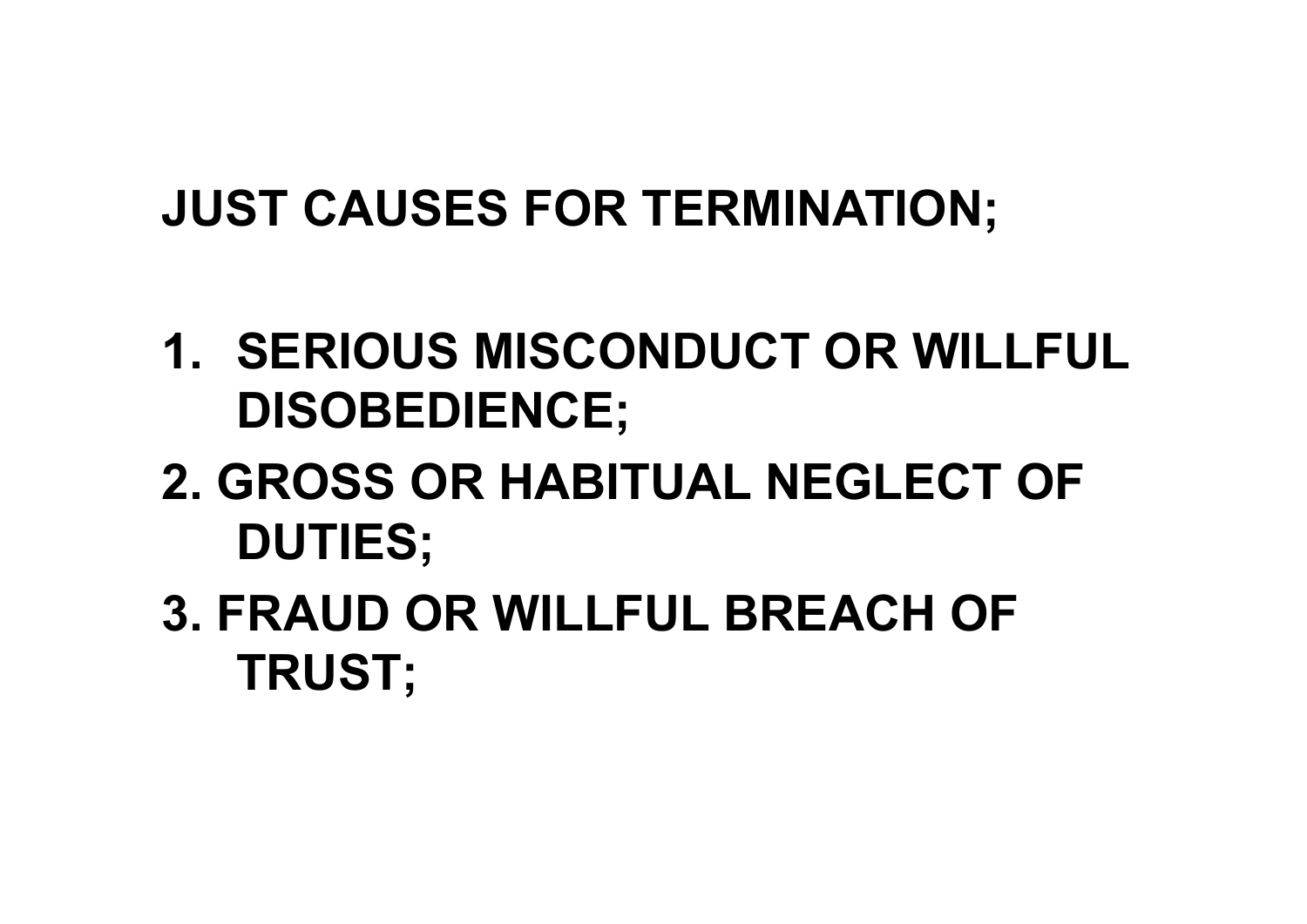# **JUST CAUSES FOR TERMINATION;**

- **1. SERIOUS MISCONDUCT OR WILLFUL DISOBEDIENCE;**
- **2. GROSS OR HABITUAL NEGLECT OF DUTIES;**
- **3. FRAUD OR WILLFUL BREACH OF TRUST;**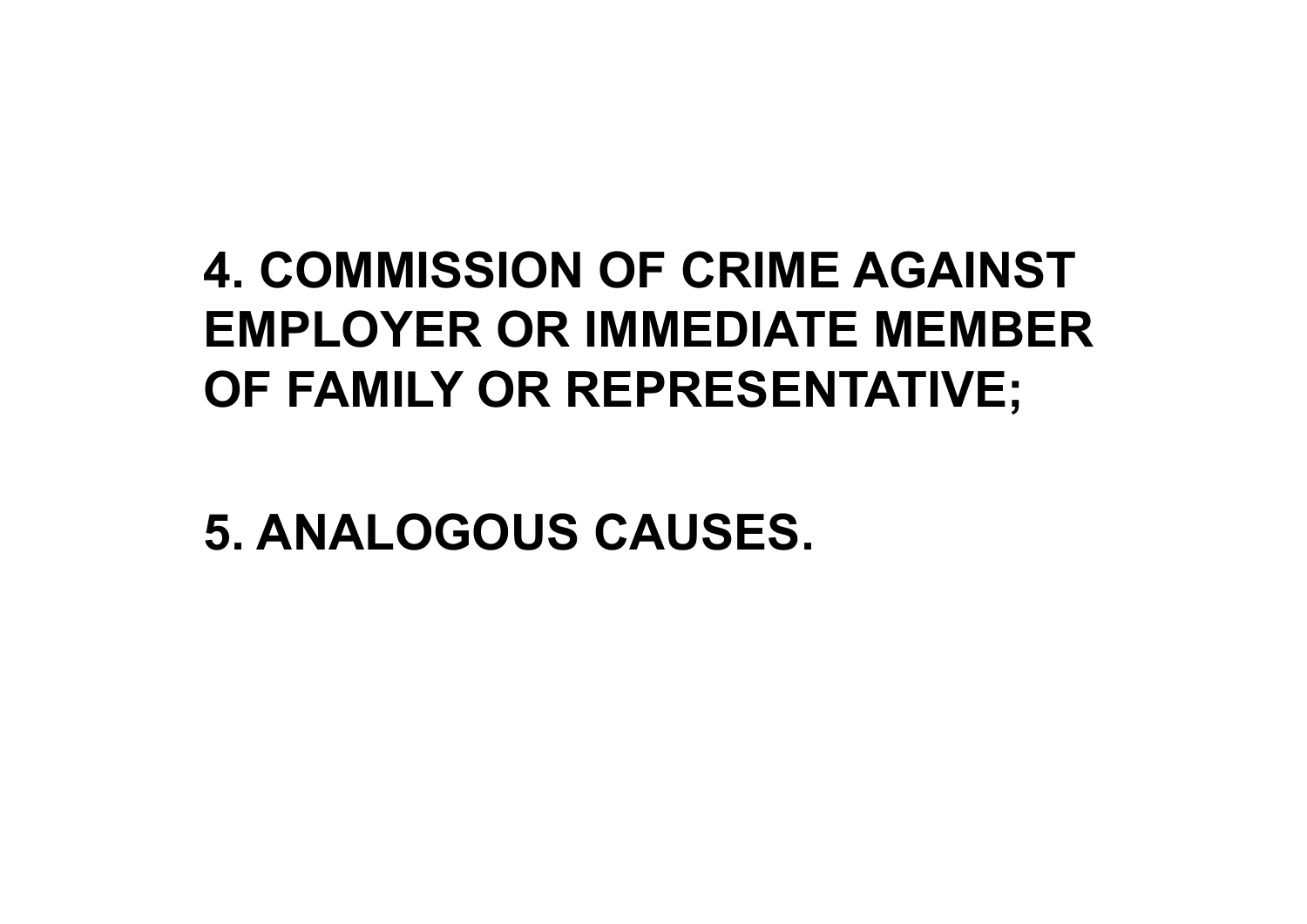# **4. COMMISSION OF CRIME AGAINST EMPLOYER OR IMMEDIATE MEMBER OF FAMILY OR REPRESENTATIVE;**

**5. ANALOGOUS CAUSES.**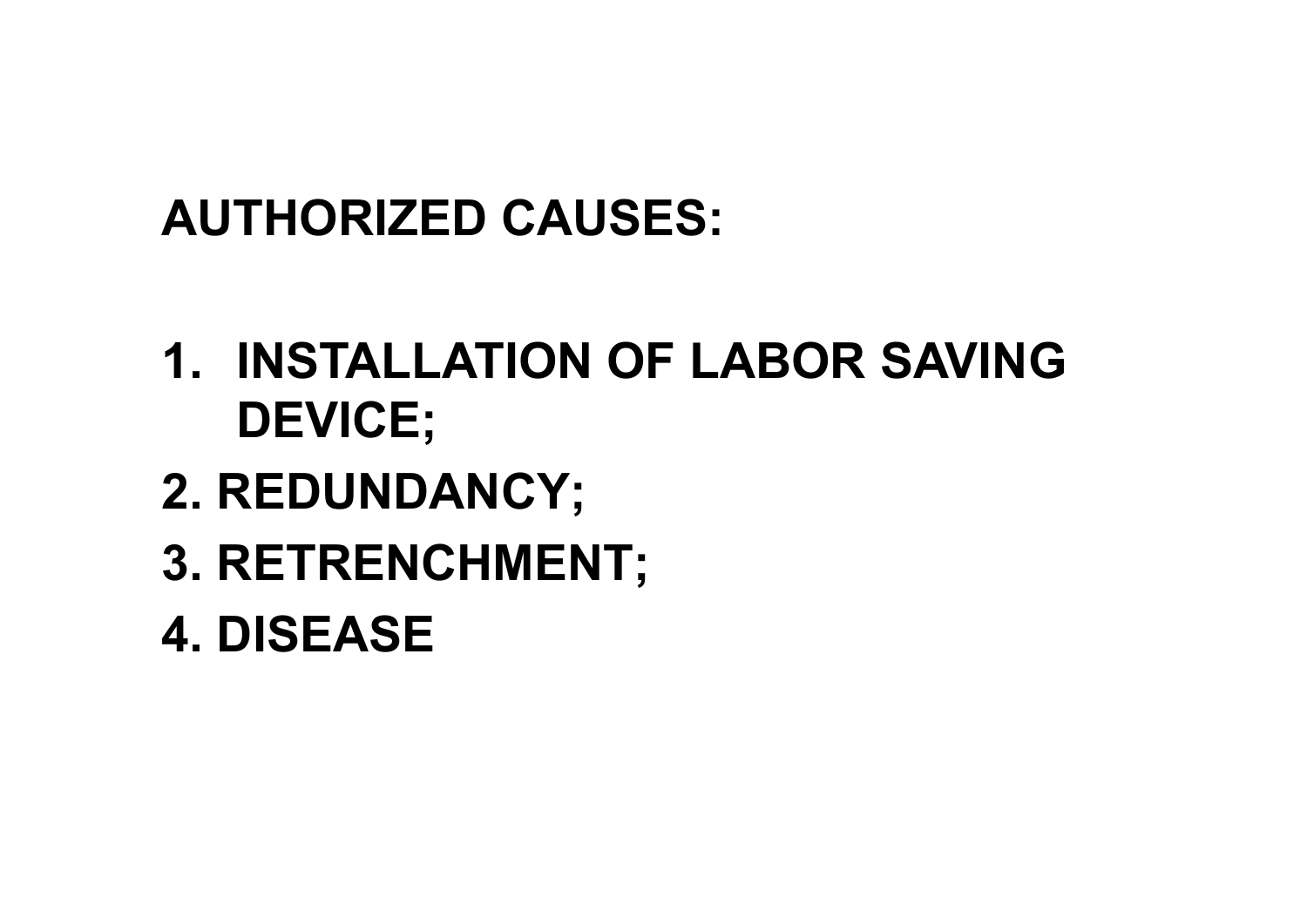## **AUTHORIZED CAUSES:**

- **1. INSTALLATION OF LABOR SAVING DEVICE;**
- **2. REDUNDANCY;**
- **3. RETRENCHMENT;**
- **4. DISEASE**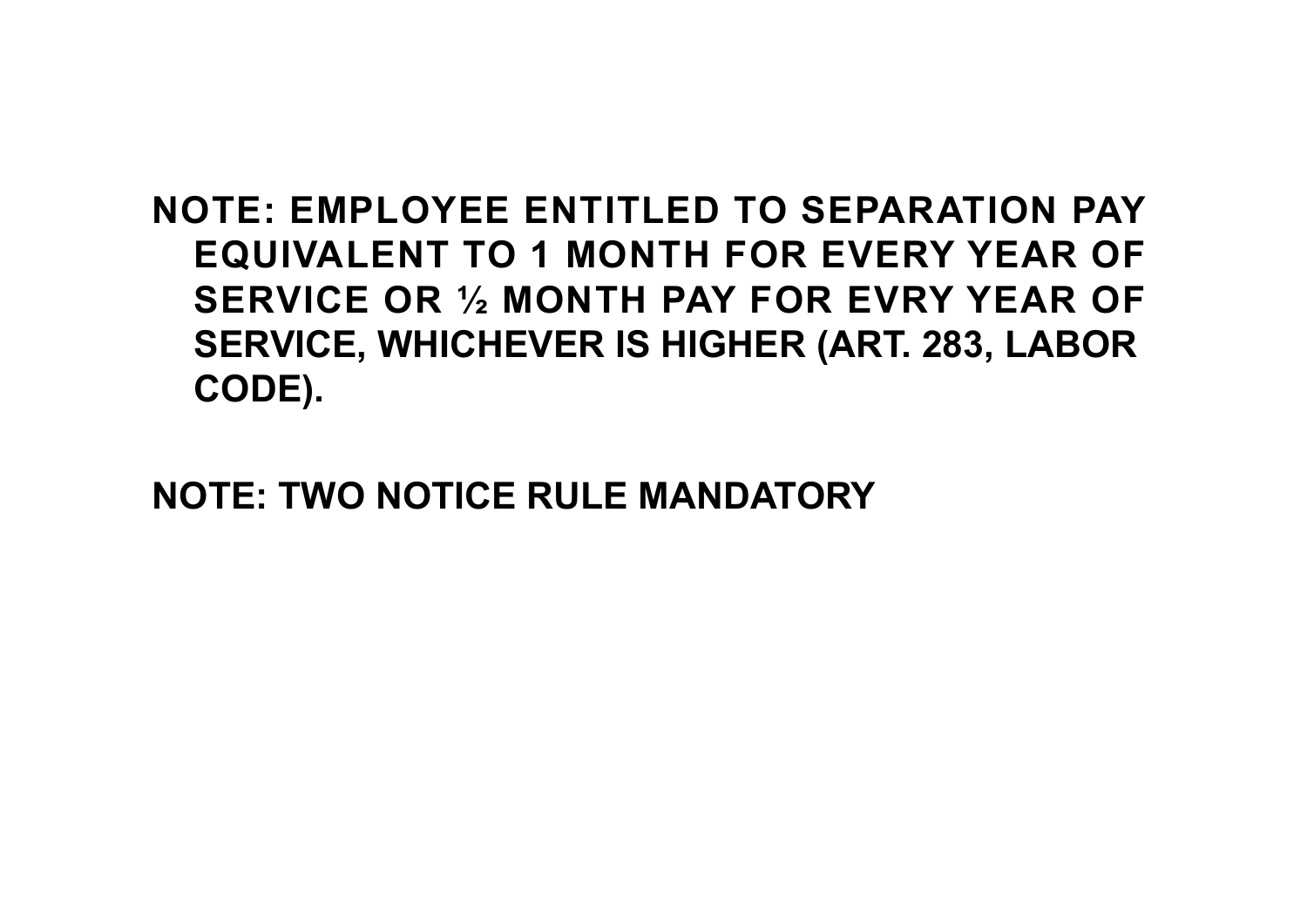#### **NOTE: EMPLOYEE ENTITLED TO SEPARATION PAY EQUIVALENT TO 1 MONTH FOR EVERY YEAR OF SERVICE OR ½ MONTH PAY FOR EVRY YEAR OF SERVICE, WHICHEVER IS HIGHER (ART. 283, LABOR CODE).**

**NOTE: TWO NOTICE RULE MANDATORY**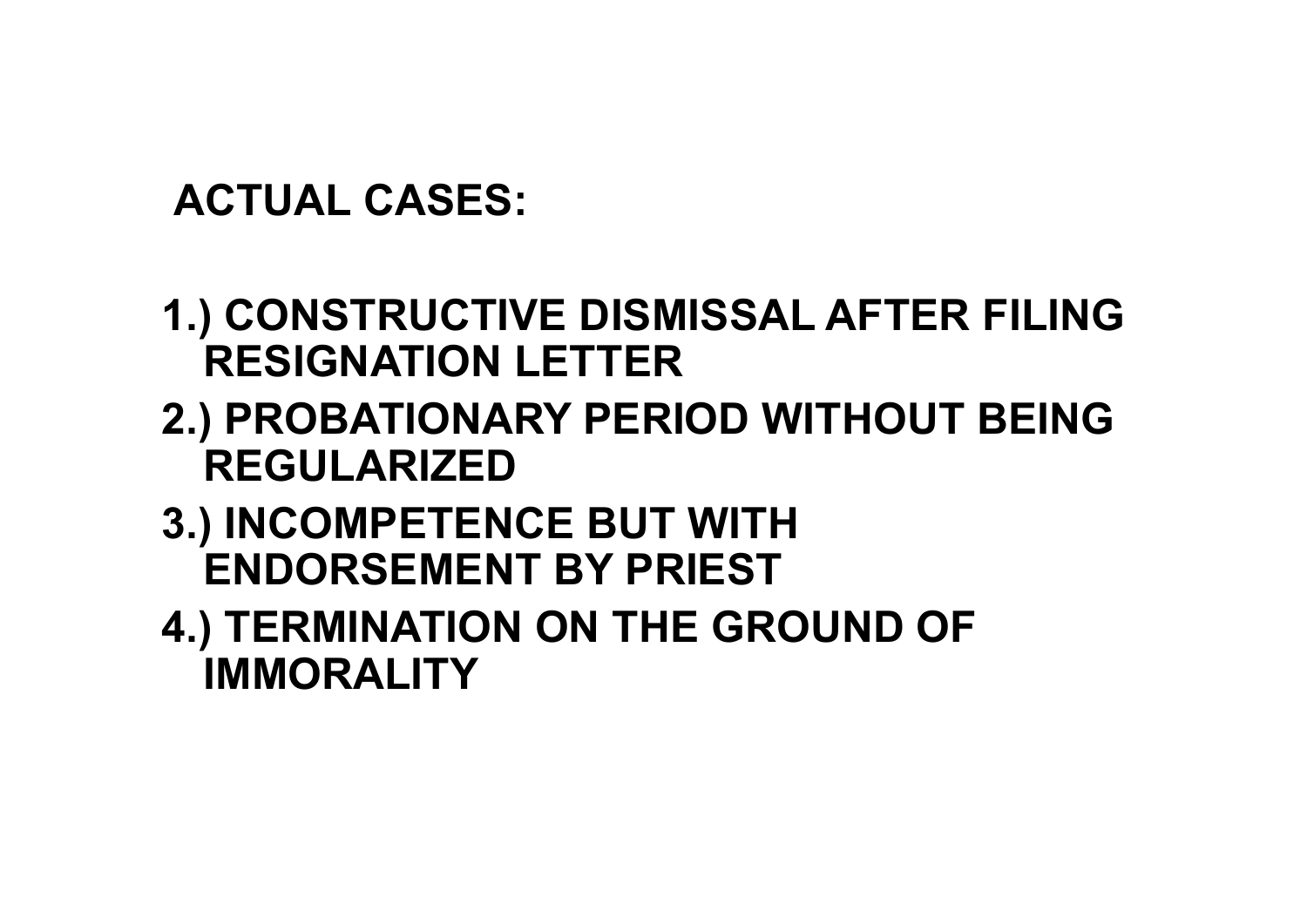#### **ACTUAL CASES:**

- **1.) CONSTRUCTIVE DISMISSAL AFTER FILING RESIGNATION LETTER**
- **2.) PROBATIONARY PERIOD WITHOUT BEING REGULARIZED**
- **3.) INCOMPETENCE BUT WITH ENDORSEMENT BY PRIEST**
- **4.) TERMINATION ON THE GROUND OF IMMORALITY**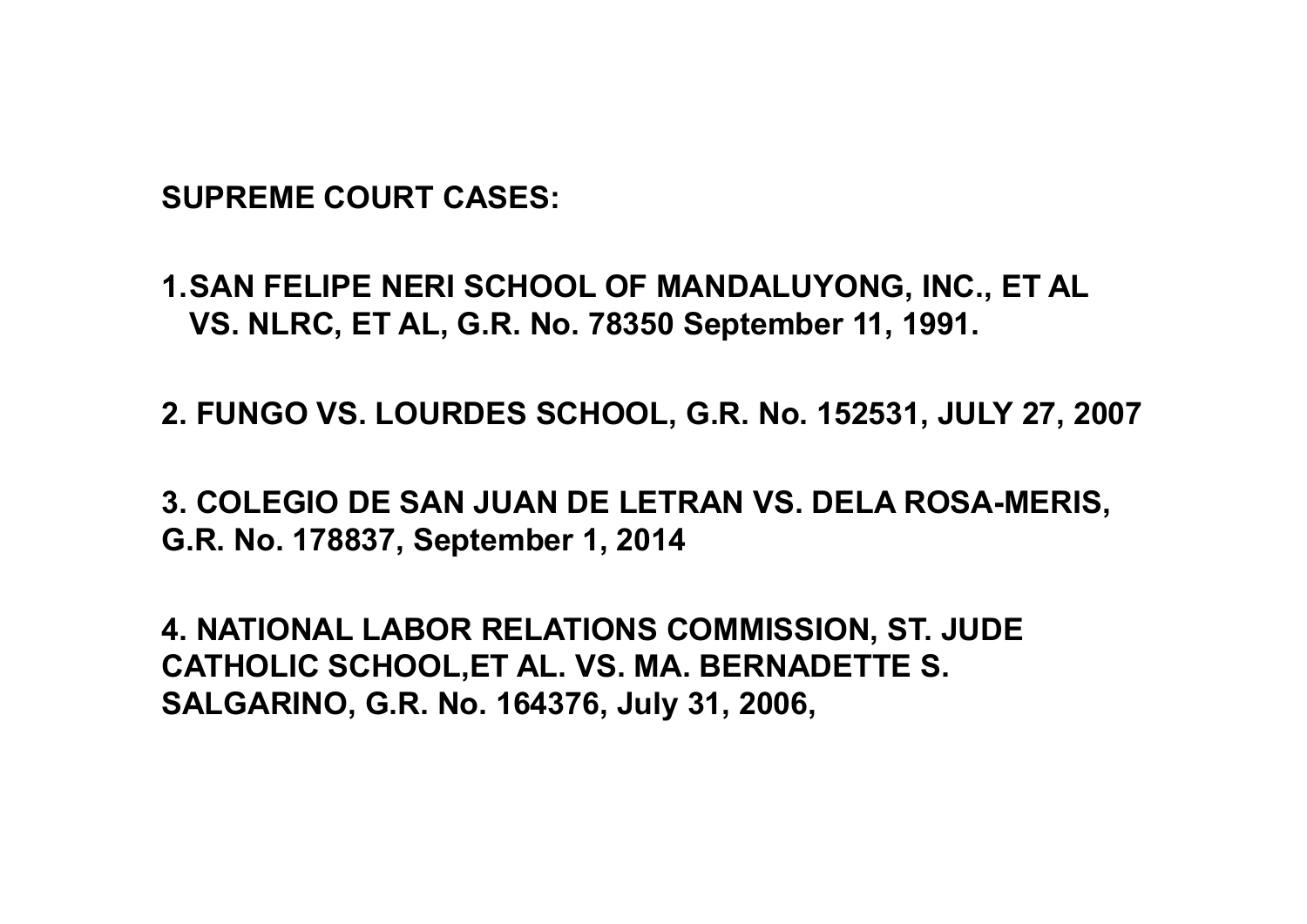**SUPREME COURT CASES:**

**1.SAN FELIPE NERI SCHOOL OF MANDALUYONG, INC., ET AL VS. NLRC, ET AL, G.R. No. 78350 September 11, 1991.**

**2. FUNGO VS. LOURDES SCHOOL, G.R. No. 152531, JULY 27, 2007**

**3. COLEGIO DE SAN JUAN DE LETRAN VS. DELA ROSA-MERIS, G.R. No. 178837, September 1, 2014** 

**4. NATIONAL LABOR RELATIONS COMMISSION, ST. JUDE CATHOLIC SCHOOL,ET AL. VS. MA. BERNADETTE S. SALGARINO, G.R. No. 164376, July 31, 2006,**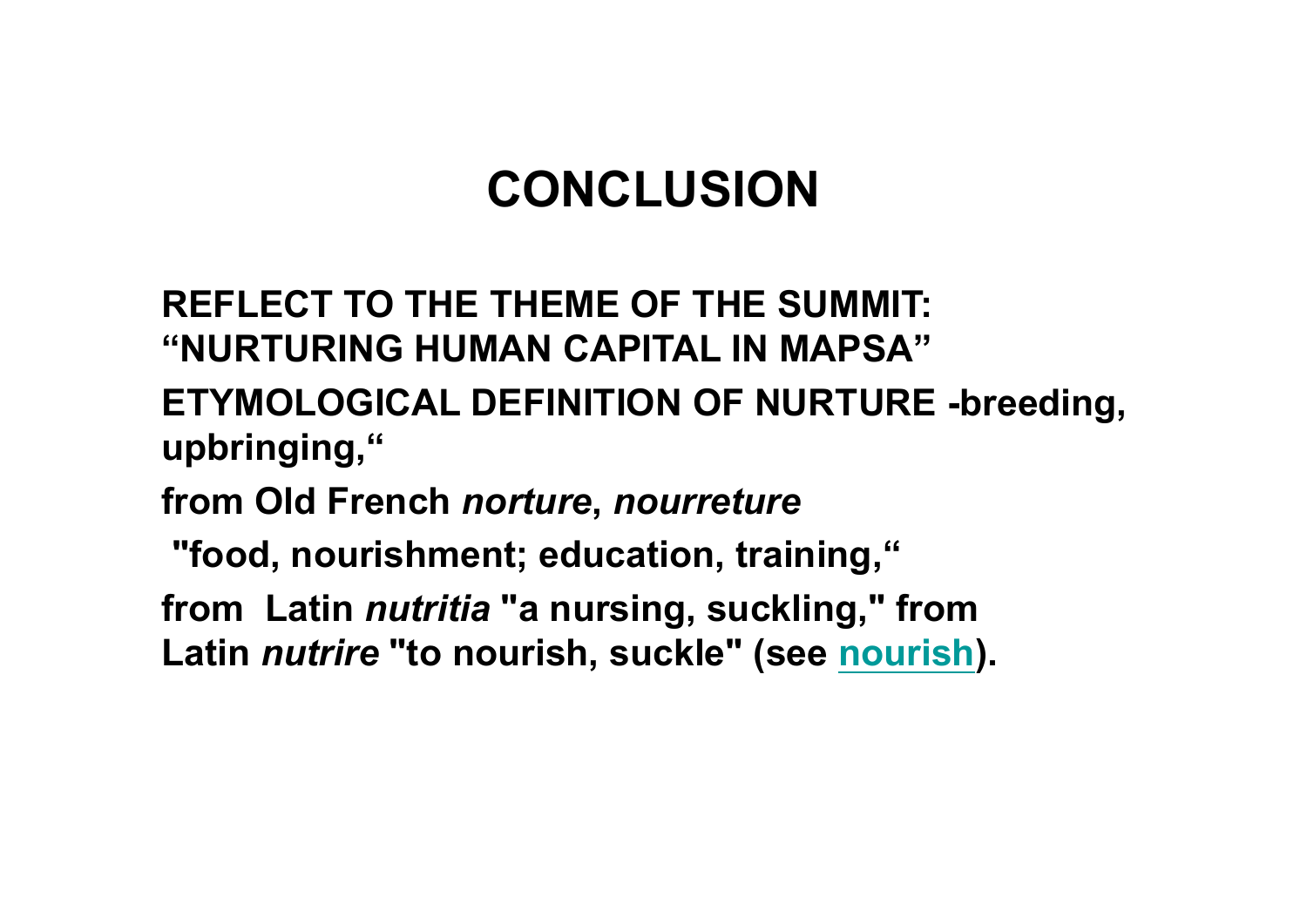## **CONCLUSION**

**REFLECT TO THE THEME OF THE SUMMIT: "NURTURING HUMAN CAPITAL IN MAPSA"** 

- **ETYMOLOGICAL DEFINITION OF NURTURE -breeding, upbringing,"**
- **from Old French** *norture***,** *nourreture*
- **"food, nourishment; education, training,"**
- **from Latin** *nutritia* **"a nursing, suckling," from Latin** *nutrire* **"to nourish, suckle" (see nourish).**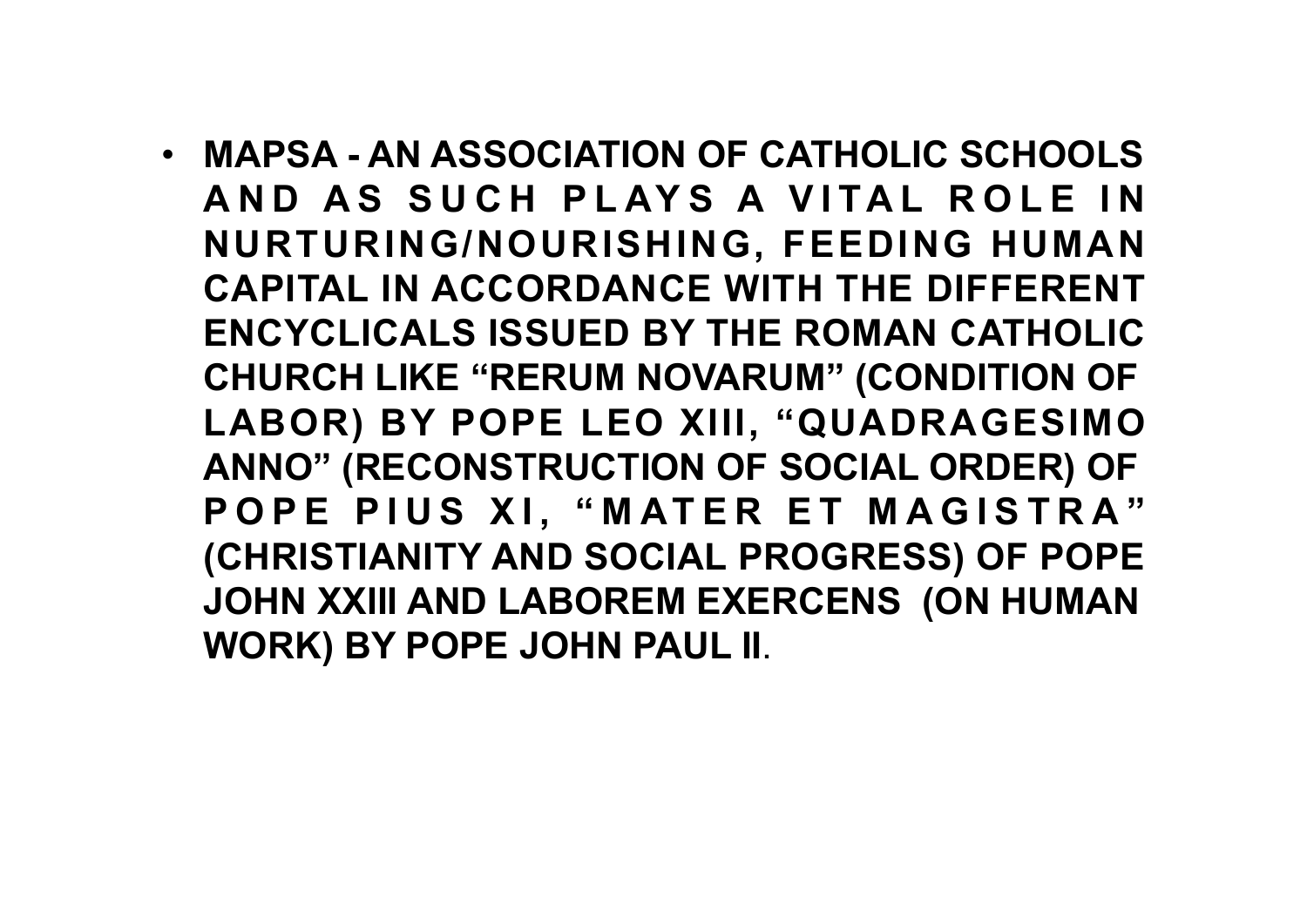• **MAPSA - AN ASSOCIATION OF CATHOLIC SCHOOLS AND AS SUCH PLAYS A VITAL ROLE IN NURTURING/NOURISHING, FEEDING HUMAN CAPITAL IN ACCORDANCE WITH THE DIFFERENT ENCYCLICALS ISSUED BY THE ROMAN CATHOLIC CHURCH LIKE "RERUM NOVARUM" (CONDITION OF LABOR) BY POPE LEO XIII, "QUADRAGESIMO ANNO" (RECONSTRUCTION OF SOCIAL ORDER) OF**  POPE PIUS XI, "MATER ET MAGISTRA" **(CHRISTIANITY AND SOCIAL PROGRESS) OF POPE JOHN XXIII AND LABOREM EXERCENS (ON HUMAN WORK) BY POPE JOHN PAUL II**.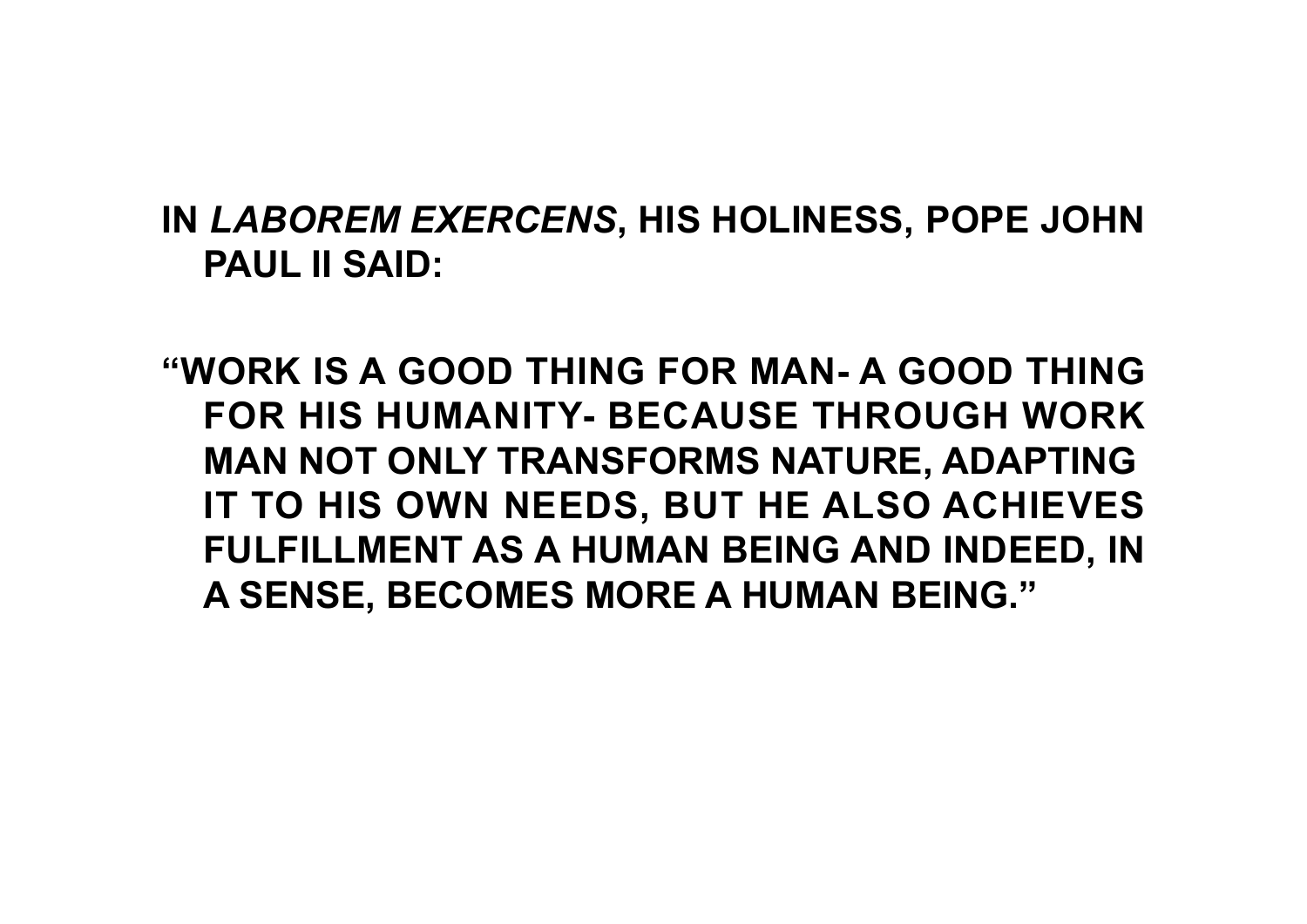#### **IN** *LABOREM EXERCENS***, HIS HOLINESS, POPE JOHN PAUL II SAID:**

**"WORK IS A GOOD THING FOR MAN- A GOOD THING FOR HIS HUMANITY- BECAUSE THROUGH WORK MAN NOT ONLY TRANSFORMS NATURE, ADAPTING IT TO HIS OWN NEEDS, BUT HE ALSO ACHIEVES FULFILLMENT AS A HUMAN BEING AND INDEED, IN A SENSE, BECOMES MORE A HUMAN BEING."**